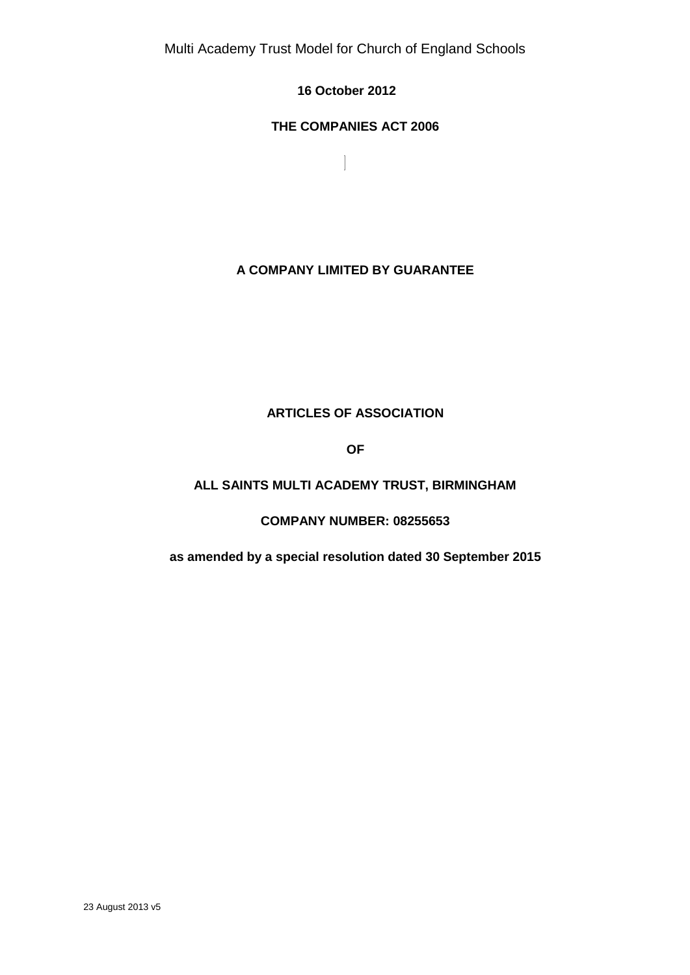# **16 October 2012**

## **THE COMPANIES ACT 2006**

# **A COMPANY LIMITED BY GUARANTEE**

# **ARTICLES OF ASSOCIATION**

**OF**

# **ALL SAINTS MULTI ACADEMY TRUST, BIRMINGHAM**

## **COMPANY NUMBER: 08255653**

**as amended by a special resolution dated 30 September 2015**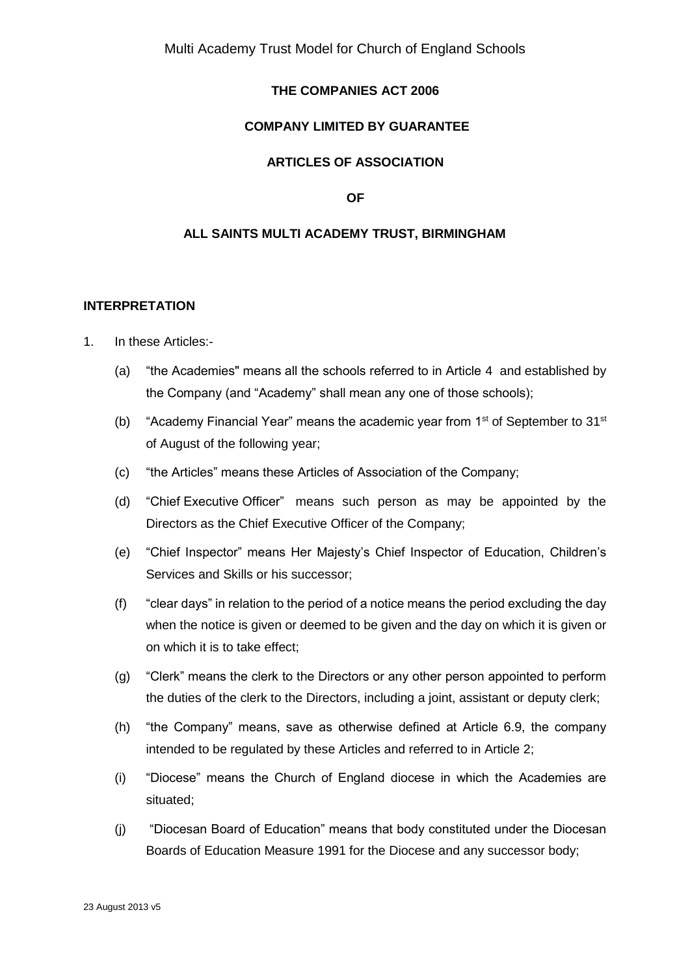## **THE COMPANIES ACT 2006**

### **COMPANY LIMITED BY GUARANTEE**

# **ARTICLES OF ASSOCIATION**

#### **OF**

#### **ALL SAINTS MULTI ACADEMY TRUST, BIRMINGHAM**

#### **INTERPRETATION**

- 1. In these Articles:-
	- (a) "the Academies" means all the schools referred to in Article 4 and established by the Company (and "Academy" shall mean any one of those schools);
	- (b) "Academy Financial Year" means the academic year from  $1<sup>st</sup>$  of September to  $31<sup>st</sup>$ of August of the following year;
	- (c) "the Articles" means these Articles of Association of the Company;
	- (d) "Chief Executive Officer" means such person as may be appointed by the Directors as the Chief Executive Officer of the Company;
	- (e) "Chief Inspector" means Her Majesty's Chief Inspector of Education, Children's Services and Skills or his successor;
	- (f) "clear days" in relation to the period of a notice means the period excluding the day when the notice is given or deemed to be given and the day on which it is given or on which it is to take effect;
	- (g) "Clerk" means the clerk to the Directors or any other person appointed to perform the duties of the clerk to the Directors, including a joint, assistant or deputy clerk;
	- (h) "the Company" means, save as otherwise defined at Article 6.9, the company intended to be regulated by these Articles and referred to in Article 2;
	- (i) "Diocese" means the Church of England diocese in which the Academies are situated;
	- (j) "Diocesan Board of Education" means that body constituted under the Diocesan Boards of Education Measure 1991 for the Diocese and any successor body;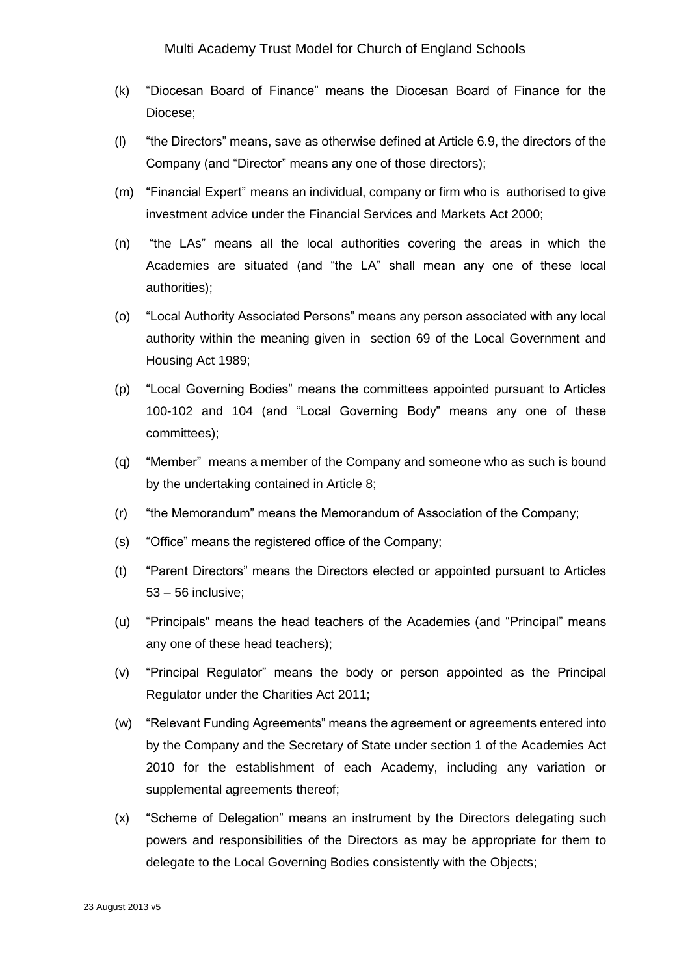- (k) "Diocesan Board of Finance" means the Diocesan Board of Finance for the Diocese;
- (l) "the Directors" means, save as otherwise defined at Article 6.9, the directors of the Company (and "Director" means any one of those directors);
- (m) "Financial Expert" means an individual, company or firm who is authorised to give investment advice under the Financial Services and Markets Act 2000;
- (n) "the LAs" means all the local authorities covering the areas in which the Academies are situated (and "the LA" shall mean any one of these local authorities);
- (o) "Local Authority Associated Persons" means any person associated with any local authority within the meaning given in section 69 of the Local Government and Housing Act 1989;
- (p) "Local Governing Bodies" means the committees appointed pursuant to Articles 100-102 and 104 (and "Local Governing Body" means any one of these committees);
- (q) "Member" means a member of the Company and someone who as such is bound by the undertaking contained in Article 8;
- (r) "the Memorandum" means the Memorandum of Association of the Company;
- (s) "Office" means the registered office of the Company;
- (t) "Parent Directors" means the Directors elected or appointed pursuant to Articles 53 – 56 inclusive;
- (u) "Principals" means the head teachers of the Academies (and "Principal" means any one of these head teachers);
- (v) "Principal Regulator" means the body or person appointed as the Principal Regulator under the Charities Act 2011;
- (w) "Relevant Funding Agreements" means the agreement or agreements entered into by the Company and the Secretary of State under section 1 of the Academies Act 2010 for the establishment of each Academy, including any variation or supplemental agreements thereof;
- (x) "Scheme of Delegation" means an instrument by the Directors delegating such powers and responsibilities of the Directors as may be appropriate for them to delegate to the Local Governing Bodies consistently with the Objects;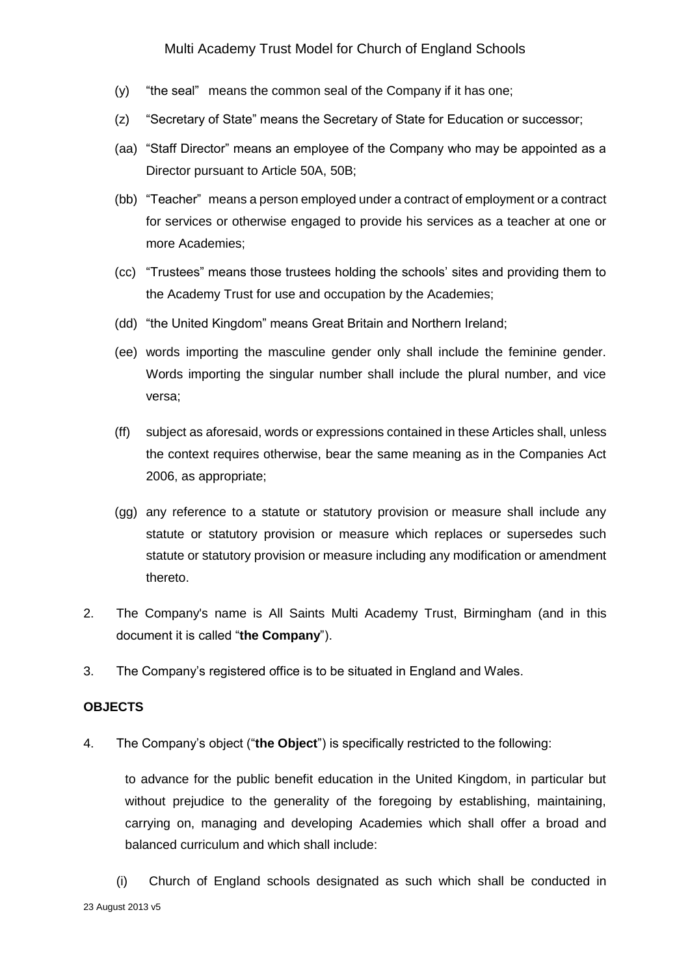- (y) "the seal" means the common seal of the Company if it has one;
- (z) "Secretary of State" means the Secretary of State for Education or successor;
- (aa) "Staff Director" means an employee of the Company who may be appointed as a Director pursuant to Article 50A, 50B;
- (bb) "Teacher" means a person employed under a contract of employment or a contract for services or otherwise engaged to provide his services as a teacher at one or more Academies;
- (cc) "Trustees" means those trustees holding the schools' sites and providing them to the Academy Trust for use and occupation by the Academies;
- (dd) "the United Kingdom" means Great Britain and Northern Ireland;
- (ee) words importing the masculine gender only shall include the feminine gender. Words importing the singular number shall include the plural number, and vice versa;
- (ff) subject as aforesaid, words or expressions contained in these Articles shall, unless the context requires otherwise, bear the same meaning as in the Companies Act 2006, as appropriate;
- (gg) any reference to a statute or statutory provision or measure shall include any statute or statutory provision or measure which replaces or supersedes such statute or statutory provision or measure including any modification or amendment thereto.
- 2. The Company's name is All Saints Multi Academy Trust, Birmingham (and in this document it is called "**the Company**").
- 3. The Company's registered office is to be situated in England and Wales.

## **OBJECTS**

4. The Company's object ("**the Object**") is specifically restricted to the following:

to advance for the public benefit education in the United Kingdom, in particular but without prejudice to the generality of the foregoing by establishing, maintaining, carrying on, managing and developing Academies which shall offer a broad and balanced curriculum and which shall include:

23 August 2013 v5 (i) Church of England schools designated as such which shall be conducted in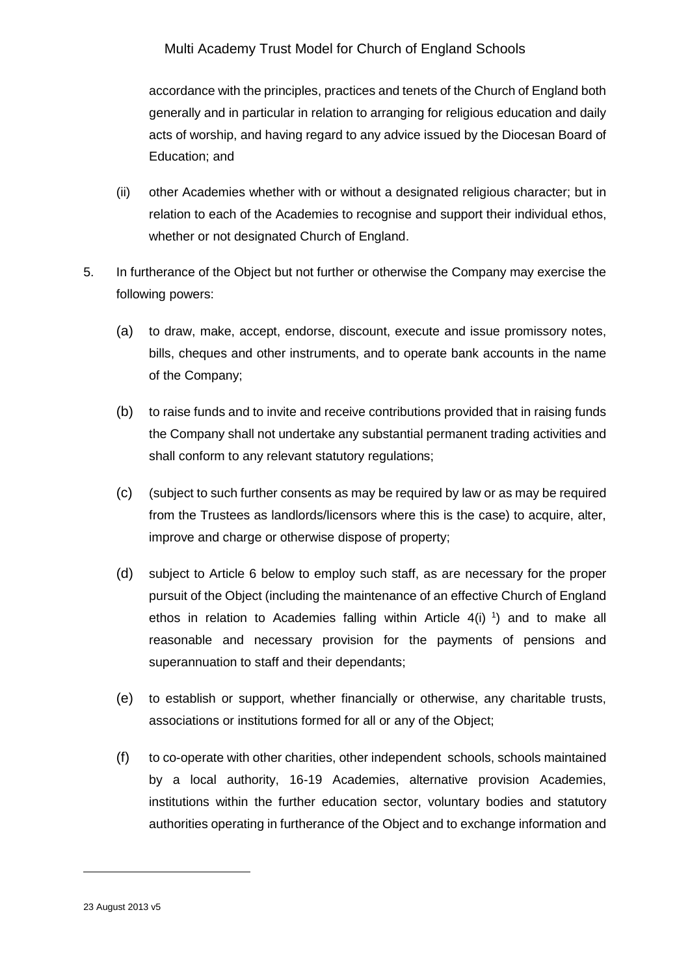accordance with the principles, practices and tenets of the Church of England both generally and in particular in relation to arranging for religious education and daily acts of worship, and having regard to any advice issued by the Diocesan Board of Education; and

- (ii) other Academies whether with or without a designated religious character; but in relation to each of the Academies to recognise and support their individual ethos, whether or not designated Church of England.
- 5. In furtherance of the Object but not further or otherwise the Company may exercise the following powers:
	- (a) to draw, make, accept, endorse, discount, execute and issue promissory notes, bills, cheques and other instruments, and to operate bank accounts in the name of the Company;
	- (b) to raise funds and to invite and receive contributions provided that in raising funds the Company shall not undertake any substantial permanent trading activities and shall conform to any relevant statutory regulations;
	- (c) (subject to such further consents as may be required by law or as may be required from the Trustees as landlords/licensors where this is the case) to acquire, alter, improve and charge or otherwise dispose of property;
	- (d) subject to Article 6 below to employ such staff, as are necessary for the proper pursuit of the Object (including the maintenance of an effective Church of England ethos in relation to Academies falling within Article  $4(i)$  <sup>1</sup>) and to make all reasonable and necessary provision for the payments of pensions and superannuation to staff and their dependants;
	- (e) to establish or support, whether financially or otherwise, any charitable trusts, associations or institutions formed for all or any of the Object;
	- (f) to co-operate with other charities, other independent schools, schools maintained by a local authority, 16-19 Academies, alternative provision Academies, institutions within the further education sector, voluntary bodies and statutory authorities operating in furtherance of the Object and to exchange information and

1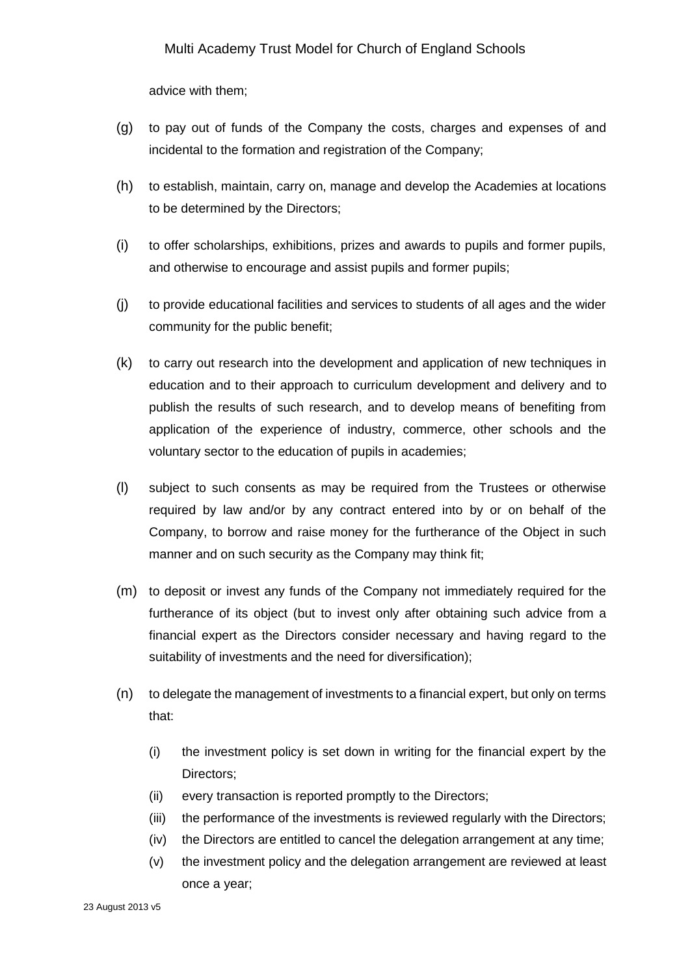advice with them;

- (g) to pay out of funds of the Company the costs, charges and expenses of and incidental to the formation and registration of the Company;
- (h) to establish, maintain, carry on, manage and develop the Academies at locations to be determined by the Directors;
- (i) to offer scholarships, exhibitions, prizes and awards to pupils and former pupils, and otherwise to encourage and assist pupils and former pupils;
- (j) to provide educational facilities and services to students of all ages and the wider community for the public benefit;
- (k) to carry out research into the development and application of new techniques in education and to their approach to curriculum development and delivery and to publish the results of such research, and to develop means of benefiting from application of the experience of industry, commerce, other schools and the voluntary sector to the education of pupils in academies;
- (l) subject to such consents as may be required from the Trustees or otherwise required by law and/or by any contract entered into by or on behalf of the Company, to borrow and raise money for the furtherance of the Object in such manner and on such security as the Company may think fit;
- (m) to deposit or invest any funds of the Company not immediately required for the furtherance of its object (but to invest only after obtaining such advice from a financial expert as the Directors consider necessary and having regard to the suitability of investments and the need for diversification);
- (n) to delegate the management of investments to a financial expert, but only on terms that:
	- (i) the investment policy is set down in writing for the financial expert by the Directors;
	- (ii) every transaction is reported promptly to the Directors;
	- (iii) the performance of the investments is reviewed regularly with the Directors;
	- (iv) the Directors are entitled to cancel the delegation arrangement at any time;
	- (v) the investment policy and the delegation arrangement are reviewed at least once a year;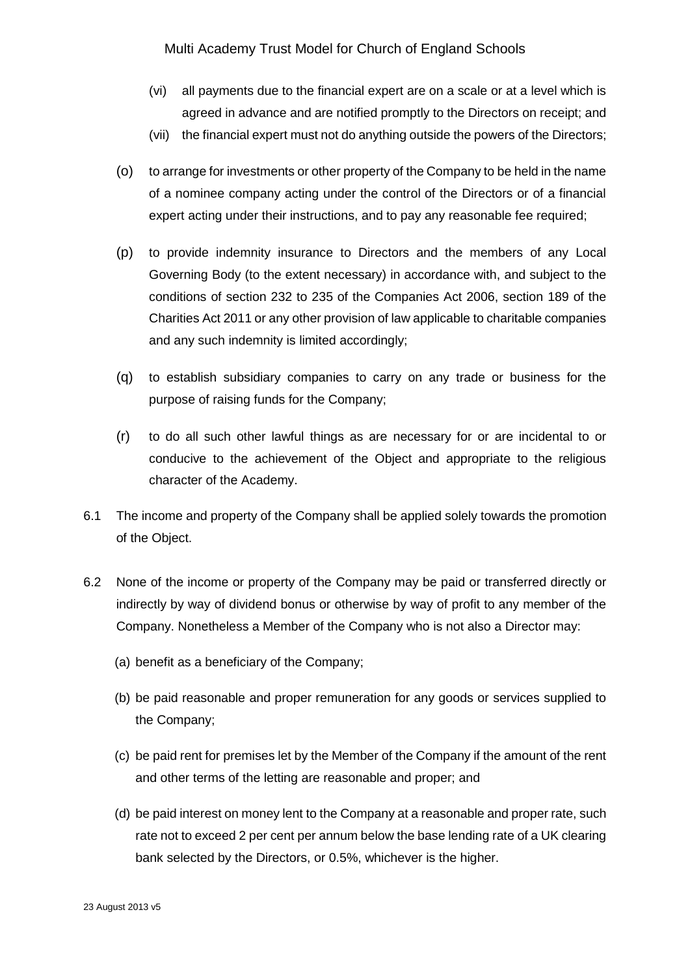- (vi) all payments due to the financial expert are on a scale or at a level which is agreed in advance and are notified promptly to the Directors on receipt; and
- (vii) the financial expert must not do anything outside the powers of the Directors;
- (o) to arrange for investments or other property of the Company to be held in the name of a nominee company acting under the control of the Directors or of a financial expert acting under their instructions, and to pay any reasonable fee required;
- (p) to provide indemnity insurance to Directors and the members of any Local Governing Body (to the extent necessary) in accordance with, and subject to the conditions of section 232 to 235 of the Companies Act 2006, section 189 of the Charities Act 2011 or any other provision of law applicable to charitable companies and any such indemnity is limited accordingly;
- (q) to establish subsidiary companies to carry on any trade or business for the purpose of raising funds for the Company;
- (r) to do all such other lawful things as are necessary for or are incidental to or conducive to the achievement of the Object and appropriate to the religious character of the Academy.
- 6.1 The income and property of the Company shall be applied solely towards the promotion of the Object.
- 6.2 None of the income or property of the Company may be paid or transferred directly or indirectly by way of dividend bonus or otherwise by way of profit to any member of the Company. Nonetheless a Member of the Company who is not also a Director may:
	- (a) benefit as a beneficiary of the Company;
	- (b) be paid reasonable and proper remuneration for any goods or services supplied to the Company;
	- (c) be paid rent for premises let by the Member of the Company if the amount of the rent and other terms of the letting are reasonable and proper; and
	- (d) be paid interest on money lent to the Company at a reasonable and proper rate, such rate not to exceed 2 per cent per annum below the base lending rate of a UK clearing bank selected by the Directors, or 0.5%, whichever is the higher.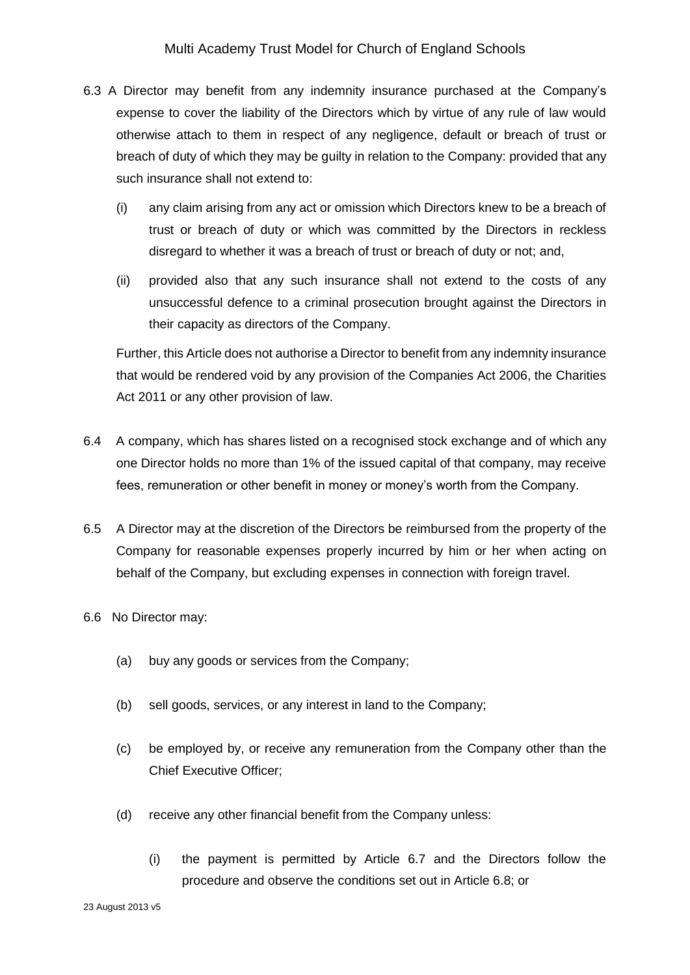- 6.3 A Director may benefit from any indemnity insurance purchased at the Company's expense to cover the liability of the Directors which by virtue of any rule of law would otherwise attach to them in respect of any negligence, default or breach of trust or breach of duty of which they may be guilty in relation to the Company: provided that any such insurance shall not extend to:
	- (i) any claim arising from any act or omission which Directors knew to be a breach of trust or breach of duty or which was committed by the Directors in reckless disregard to whether it was a breach of trust or breach of duty or not; and,
	- (ii) provided also that any such insurance shall not extend to the costs of any unsuccessful defence to a criminal prosecution brought against the Directors in their capacity as directors of the Company.

Further, this Article does not authorise a Director to benefit from any indemnity insurance that would be rendered void by any provision of the Companies Act 2006, the Charities Act 2011 or any other provision of law.

- 6.4 A company, which has shares listed on a recognised stock exchange and of which any one Director holds no more than 1% of the issued capital of that company, may receive fees, remuneration or other benefit in money or money's worth from the Company.
- 6.5 A Director may at the discretion of the Directors be reimbursed from the property of the Company for reasonable expenses properly incurred by him or her when acting on behalf of the Company, but excluding expenses in connection with foreign travel.
- 6.6 No Director may:
	- (a) buy any goods or services from the Company;
	- (b) sell goods, services, or any interest in land to the Company;
	- (c) be employed by, or receive any remuneration from the Company other than the Chief Executive Officer;
	- (d) receive any other financial benefit from the Company unless:
		- (i) the payment is permitted by Article 6.7 and the Directors follow the procedure and observe the conditions set out in Article 6.8; or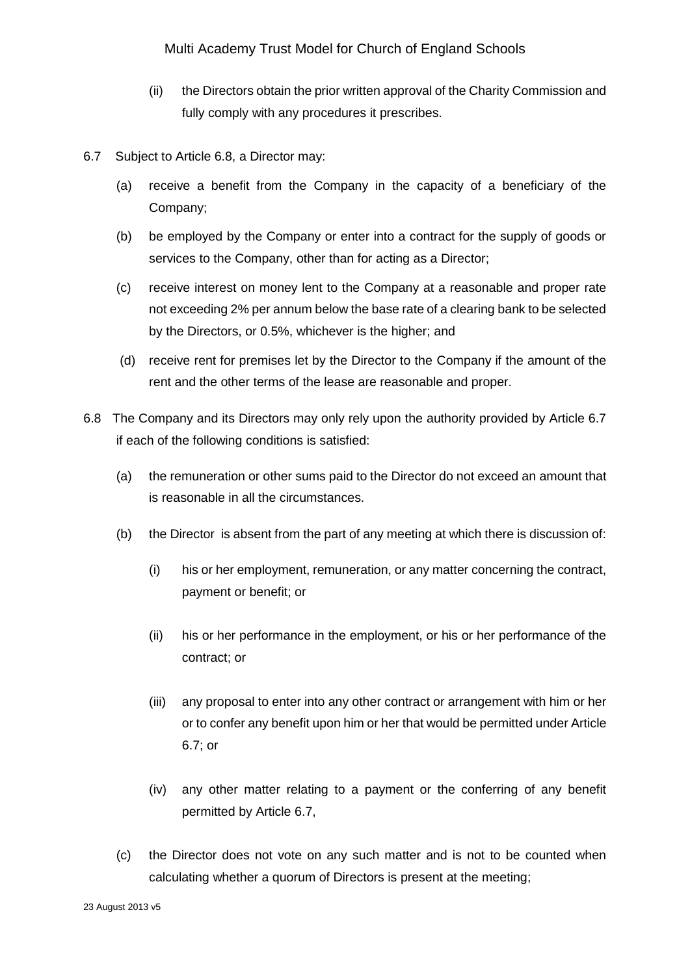- (ii) the Directors obtain the prior written approval of the Charity Commission and fully comply with any procedures it prescribes.
- 6.7 Subject to Article 6.8, a Director may:
	- (a) receive a benefit from the Company in the capacity of a beneficiary of the Company;
	- (b) be employed by the Company or enter into a contract for the supply of goods or services to the Company, other than for acting as a Director;
	- (c) receive interest on money lent to the Company at a reasonable and proper rate not exceeding 2% per annum below the base rate of a clearing bank to be selected by the Directors, or 0.5%, whichever is the higher; and
	- (d) receive rent for premises let by the Director to the Company if the amount of the rent and the other terms of the lease are reasonable and proper.
- 6.8 The Company and its Directors may only rely upon the authority provided by Article 6.7 if each of the following conditions is satisfied:
	- (a) the remuneration or other sums paid to the Director do not exceed an amount that is reasonable in all the circumstances.
	- (b) the Director is absent from the part of any meeting at which there is discussion of:
		- (i) his or her employment, remuneration, or any matter concerning the contract, payment or benefit; or
		- (ii) his or her performance in the employment, or his or her performance of the contract; or
		- (iii) any proposal to enter into any other contract or arrangement with him or her or to confer any benefit upon him or her that would be permitted under Article 6.7; or
		- (iv) any other matter relating to a payment or the conferring of any benefit permitted by Article 6.7,
	- (c) the Director does not vote on any such matter and is not to be counted when calculating whether a quorum of Directors is present at the meeting;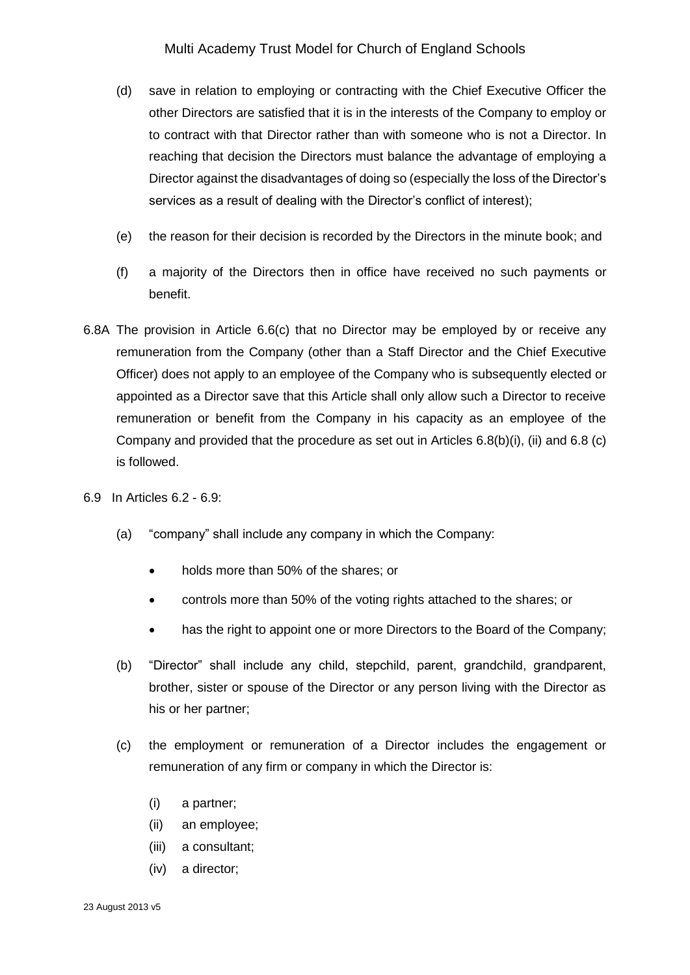- (d) save in relation to employing or contracting with the Chief Executive Officer the other Directors are satisfied that it is in the interests of the Company to employ or to contract with that Director rather than with someone who is not a Director. In reaching that decision the Directors must balance the advantage of employing a Director against the disadvantages of doing so (especially the loss of the Director's services as a result of dealing with the Director's conflict of interest);
- (e) the reason for their decision is recorded by the Directors in the minute book; and
- (f) a majority of the Directors then in office have received no such payments or benefit.
- 6.8A The provision in Article 6.6(c) that no Director may be employed by or receive any remuneration from the Company (other than a Staff Director and the Chief Executive Officer) does not apply to an employee of the Company who is subsequently elected or appointed as a Director save that this Article shall only allow such a Director to receive remuneration or benefit from the Company in his capacity as an employee of the Company and provided that the procedure as set out in Articles 6.8(b)(i), (ii) and 6.8 (c) is followed.
- 6.9 In Articles 6.2 6.9:
	- (a) "company" shall include any company in which the Company:
		- holds more than 50% of the shares; or
		- controls more than 50% of the voting rights attached to the shares; or
		- has the right to appoint one or more Directors to the Board of the Company;
	- (b) "Director" shall include any child, stepchild, parent, grandchild, grandparent, brother, sister or spouse of the Director or any person living with the Director as his or her partner;
	- (c) the employment or remuneration of a Director includes the engagement or remuneration of any firm or company in which the Director is:
		- (i) a partner;
		- (ii) an employee;
		- (iii) a consultant;
		- (iv) a director;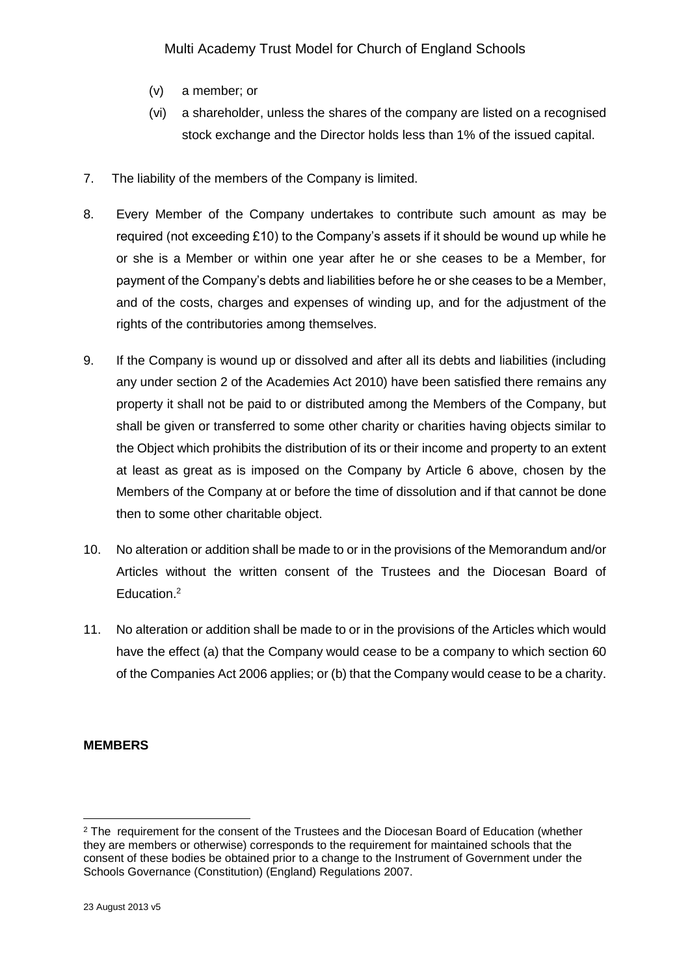- (v) a member; or
- (vi) a shareholder, unless the shares of the company are listed on a recognised stock exchange and the Director holds less than 1% of the issued capital.
- 7. The liability of the members of the Company is limited.
- 8. Every Member of the Company undertakes to contribute such amount as may be required (not exceeding £10) to the Company's assets if it should be wound up while he or she is a Member or within one year after he or she ceases to be a Member, for payment of the Company's debts and liabilities before he or she ceases to be a Member, and of the costs, charges and expenses of winding up, and for the adjustment of the rights of the contributories among themselves.
- 9. If the Company is wound up or dissolved and after all its debts and liabilities (including any under section 2 of the Academies Act 2010) have been satisfied there remains any property it shall not be paid to or distributed among the Members of the Company, but shall be given or transferred to some other charity or charities having objects similar to the Object which prohibits the distribution of its or their income and property to an extent at least as great as is imposed on the Company by Article 6 above, chosen by the Members of the Company at or before the time of dissolution and if that cannot be done then to some other charitable object.
- 10. No alteration or addition shall be made to or in the provisions of the Memorandum and/or Articles without the written consent of the Trustees and the Diocesan Board of Education.<sup>2</sup>
- 11. No alteration or addition shall be made to or in the provisions of the Articles which would have the effect (a) that the Company would cease to be a company to which section 60 of the Companies Act 2006 applies; or (b) that the Company would cease to be a charity.

# **MEMBERS**

1

 $2$  The requirement for the consent of the Trustees and the Diocesan Board of Education (whether they are members or otherwise) corresponds to the requirement for maintained schools that the consent of these bodies be obtained prior to a change to the Instrument of Government under the Schools Governance (Constitution) (England) Regulations 2007.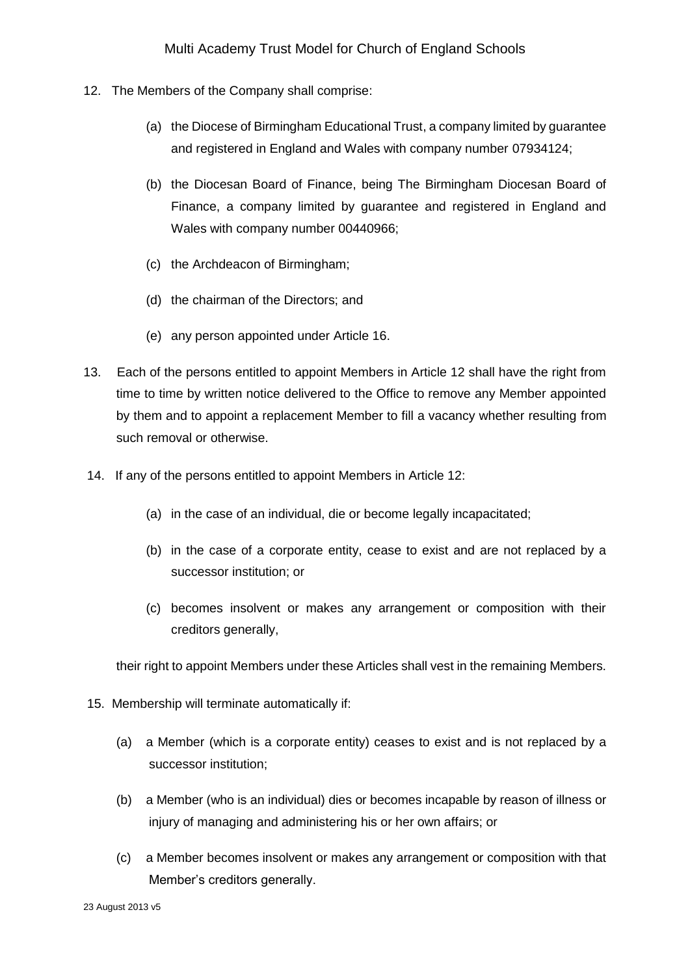- 12. The Members of the Company shall comprise:
	- (a) the Diocese of Birmingham Educational Trust, a company limited by guarantee and registered in England and Wales with company number 07934124;
	- (b) the Diocesan Board of Finance, being The Birmingham Diocesan Board of Finance, a company limited by guarantee and registered in England and Wales with company number 00440966;
	- (c) the Archdeacon of Birmingham;
	- (d) the chairman of the Directors; and
	- (e) any person appointed under Article 16.
- 13. Each of the persons entitled to appoint Members in Article 12 shall have the right from time to time by written notice delivered to the Office to remove any Member appointed by them and to appoint a replacement Member to fill a vacancy whether resulting from such removal or otherwise.
- 14. If any of the persons entitled to appoint Members in Article 12:
	- (a) in the case of an individual, die or become legally incapacitated;
	- (b) in the case of a corporate entity, cease to exist and are not replaced by a successor institution; or
	- (c) becomes insolvent or makes any arrangement or composition with their creditors generally,

their right to appoint Members under these Articles shall vest in the remaining Members.

- 15. Membership will terminate automatically if:
	- (a) a Member (which is a corporate entity) ceases to exist and is not replaced by a successor institution;
	- (b) a Member (who is an individual) dies or becomes incapable by reason of illness or injury of managing and administering his or her own affairs; or
	- (c) a Member becomes insolvent or makes any arrangement or composition with that Member's creditors generally.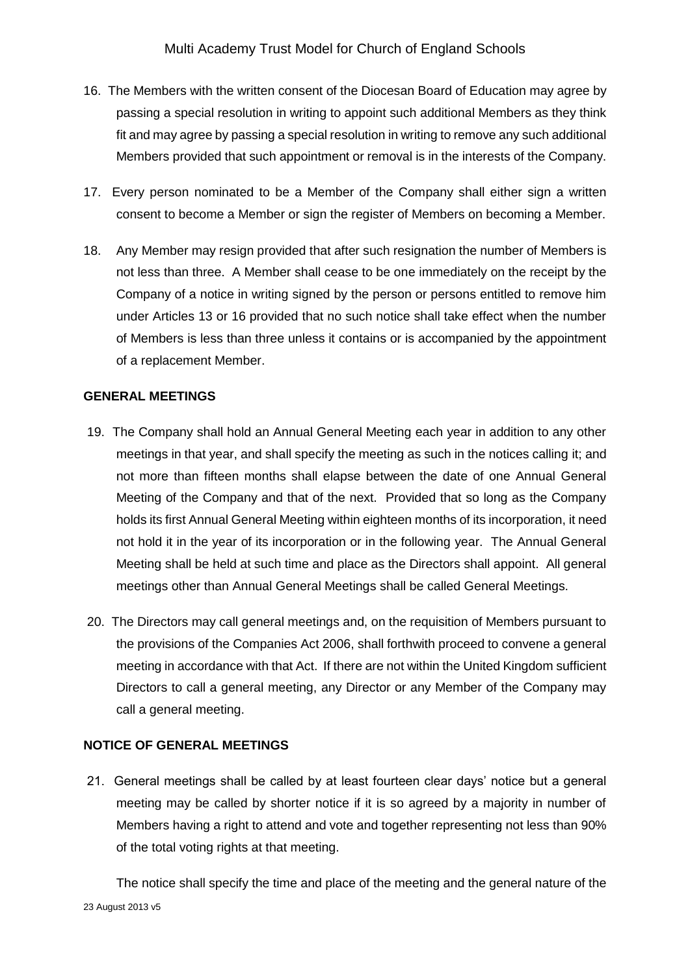- 16. The Members with the written consent of the Diocesan Board of Education may agree by passing a special resolution in writing to appoint such additional Members as they think fit and may agree by passing a special resolution in writing to remove any such additional Members provided that such appointment or removal is in the interests of the Company.
- 17. Every person nominated to be a Member of the Company shall either sign a written consent to become a Member or sign the register of Members on becoming a Member.
- 18. Any Member may resign provided that after such resignation the number of Members is not less than three. A Member shall cease to be one immediately on the receipt by the Company of a notice in writing signed by the person or persons entitled to remove him under Articles 13 or 16 provided that no such notice shall take effect when the number of Members is less than three unless it contains or is accompanied by the appointment of a replacement Member.

## **GENERAL MEETINGS**

- 19. The Company shall hold an Annual General Meeting each year in addition to any other meetings in that year, and shall specify the meeting as such in the notices calling it; and not more than fifteen months shall elapse between the date of one Annual General Meeting of the Company and that of the next. Provided that so long as the Company holds its first Annual General Meeting within eighteen months of its incorporation, it need not hold it in the year of its incorporation or in the following year. The Annual General Meeting shall be held at such time and place as the Directors shall appoint. All general meetings other than Annual General Meetings shall be called General Meetings.
- 20. The Directors may call general meetings and, on the requisition of Members pursuant to the provisions of the Companies Act 2006, shall forthwith proceed to convene a general meeting in accordance with that Act. If there are not within the United Kingdom sufficient Directors to call a general meeting, any Director or any Member of the Company may call a general meeting.

# **NOTICE OF GENERAL MEETINGS**

21. General meetings shall be called by at least fourteen clear days' notice but a general meeting may be called by shorter notice if it is so agreed by a majority in number of Members having a right to attend and vote and together representing not less than 90% of the total voting rights at that meeting.

23 August 2013 v5 The notice shall specify the time and place of the meeting and the general nature of the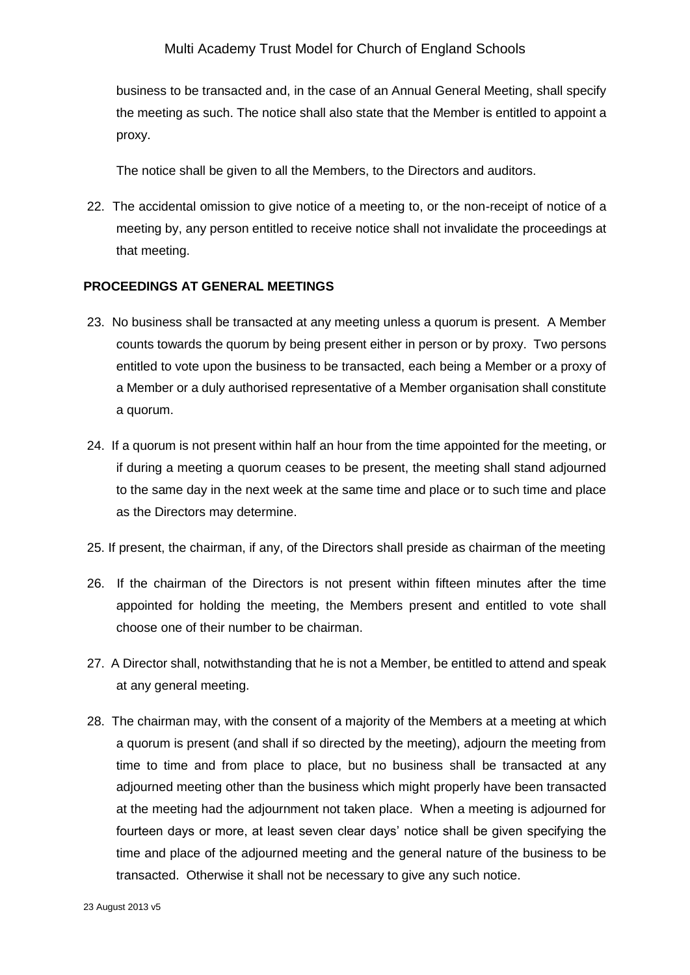business to be transacted and, in the case of an Annual General Meeting, shall specify the meeting as such. The notice shall also state that the Member is entitled to appoint a proxy.

The notice shall be given to all the Members, to the Directors and auditors.

22. The accidental omission to give notice of a meeting to, or the non-receipt of notice of a meeting by, any person entitled to receive notice shall not invalidate the proceedings at that meeting.

## **PROCEEDINGS AT GENERAL MEETINGS**

- 23. No business shall be transacted at any meeting unless a quorum is present. A Member counts towards the quorum by being present either in person or by proxy. Two persons entitled to vote upon the business to be transacted, each being a Member or a proxy of a Member or a duly authorised representative of a Member organisation shall constitute a quorum.
- 24. If a quorum is not present within half an hour from the time appointed for the meeting, or if during a meeting a quorum ceases to be present, the meeting shall stand adjourned to the same day in the next week at the same time and place or to such time and place as the Directors may determine.
- 25. If present, the chairman, if any, of the Directors shall preside as chairman of the meeting
- 26. If the chairman of the Directors is not present within fifteen minutes after the time appointed for holding the meeting, the Members present and entitled to vote shall choose one of their number to be chairman.
- 27. A Director shall, notwithstanding that he is not a Member, be entitled to attend and speak at any general meeting.
- 28. The chairman may, with the consent of a majority of the Members at a meeting at which a quorum is present (and shall if so directed by the meeting), adjourn the meeting from time to time and from place to place, but no business shall be transacted at any adjourned meeting other than the business which might properly have been transacted at the meeting had the adjournment not taken place. When a meeting is adjourned for fourteen days or more, at least seven clear days' notice shall be given specifying the time and place of the adjourned meeting and the general nature of the business to be transacted. Otherwise it shall not be necessary to give any such notice.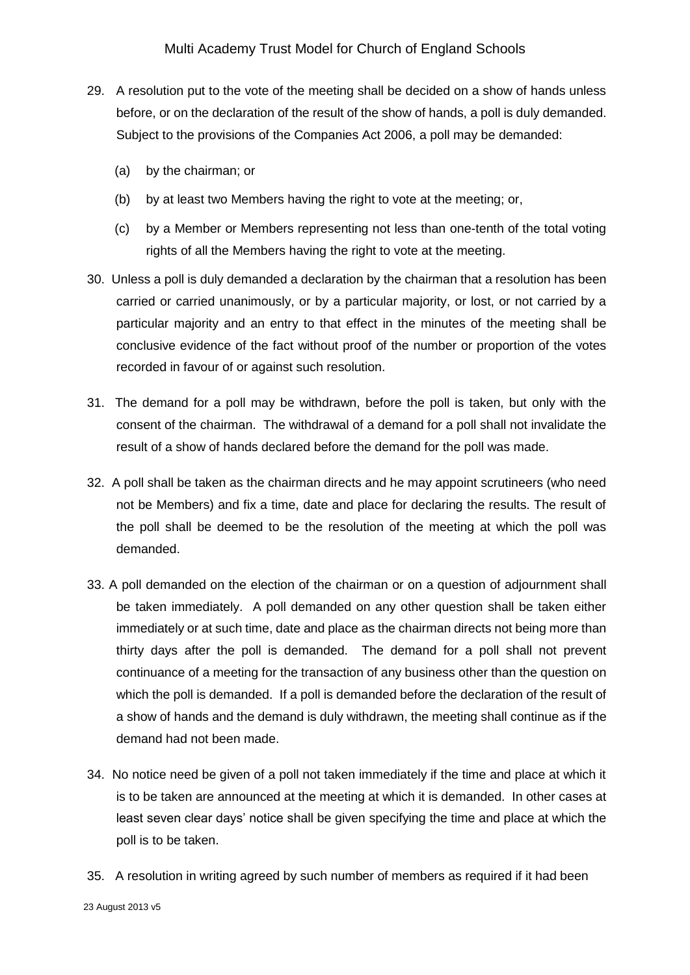- 29. A resolution put to the vote of the meeting shall be decided on a show of hands unless before, or on the declaration of the result of the show of hands, a poll is duly demanded. Subject to the provisions of the Companies Act 2006, a poll may be demanded:
	- (a) by the chairman; or
	- (b) by at least two Members having the right to vote at the meeting; or,
	- (c) by a Member or Members representing not less than one-tenth of the total voting rights of all the Members having the right to vote at the meeting.
- 30. Unless a poll is duly demanded a declaration by the chairman that a resolution has been carried or carried unanimously, or by a particular majority, or lost, or not carried by a particular majority and an entry to that effect in the minutes of the meeting shall be conclusive evidence of the fact without proof of the number or proportion of the votes recorded in favour of or against such resolution.
- 31. The demand for a poll may be withdrawn, before the poll is taken, but only with the consent of the chairman. The withdrawal of a demand for a poll shall not invalidate the result of a show of hands declared before the demand for the poll was made.
- 32. A poll shall be taken as the chairman directs and he may appoint scrutineers (who need not be Members) and fix a time, date and place for declaring the results. The result of the poll shall be deemed to be the resolution of the meeting at which the poll was demanded.
- 33. A poll demanded on the election of the chairman or on a question of adjournment shall be taken immediately. A poll demanded on any other question shall be taken either immediately or at such time, date and place as the chairman directs not being more than thirty days after the poll is demanded. The demand for a poll shall not prevent continuance of a meeting for the transaction of any business other than the question on which the poll is demanded. If a poll is demanded before the declaration of the result of a show of hands and the demand is duly withdrawn, the meeting shall continue as if the demand had not been made.
- 34. No notice need be given of a poll not taken immediately if the time and place at which it is to be taken are announced at the meeting at which it is demanded. In other cases at least seven clear days' notice shall be given specifying the time and place at which the poll is to be taken.
- 35. A resolution in writing agreed by such number of members as required if it had been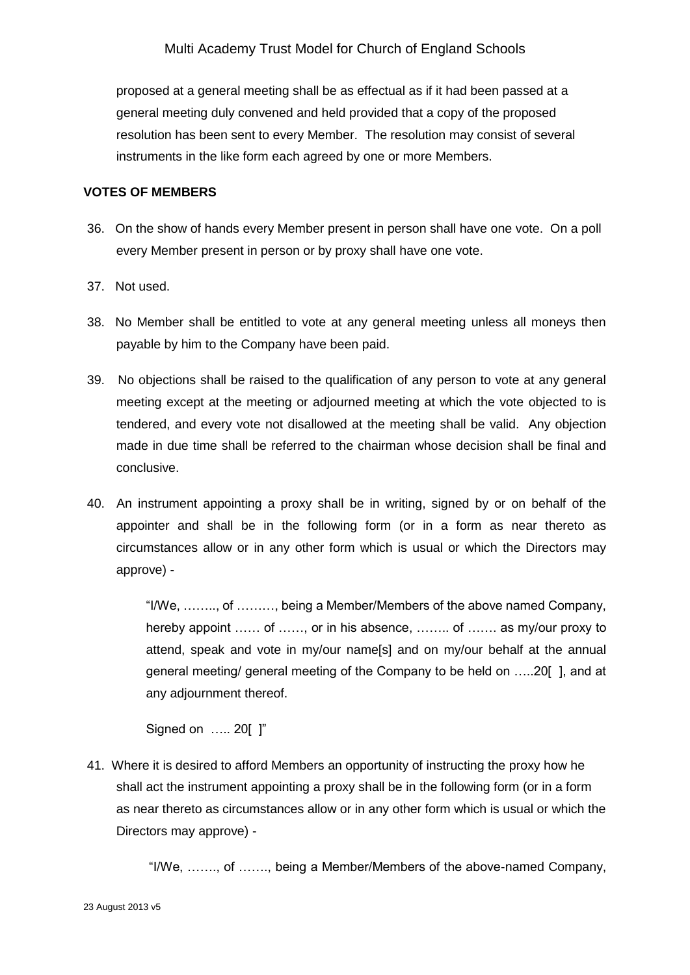proposed at a general meeting shall be as effectual as if it had been passed at a general meeting duly convened and held provided that a copy of the proposed resolution has been sent to every Member. The resolution may consist of several instruments in the like form each agreed by one or more Members.

#### **VOTES OF MEMBERS**

- 36. On the show of hands every Member present in person shall have one vote. On a poll every Member present in person or by proxy shall have one vote.
- 37. Not used.
- 38. No Member shall be entitled to vote at any general meeting unless all moneys then payable by him to the Company have been paid.
- 39. No objections shall be raised to the qualification of any person to vote at any general meeting except at the meeting or adjourned meeting at which the vote objected to is tendered, and every vote not disallowed at the meeting shall be valid. Any objection made in due time shall be referred to the chairman whose decision shall be final and conclusive.
- 40. An instrument appointing a proxy shall be in writing, signed by or on behalf of the appointer and shall be in the following form (or in a form as near thereto as circumstances allow or in any other form which is usual or which the Directors may approve) -

"I/We, …….., of ………, being a Member/Members of the above named Company, hereby appoint …… of ……, or in his absence, ……. of …… as my/our proxy to attend, speak and vote in my/our name[s] and on my/our behalf at the annual general meeting/ general meeting of the Company to be held on …..20[ ], and at any adjournment thereof.

Signed on ….. 20[ ]"

41. Where it is desired to afford Members an opportunity of instructing the proxy how he shall act the instrument appointing a proxy shall be in the following form (or in a form as near thereto as circumstances allow or in any other form which is usual or which the Directors may approve) -

"I/We, ……., of ……., being a Member/Members of the above-named Company,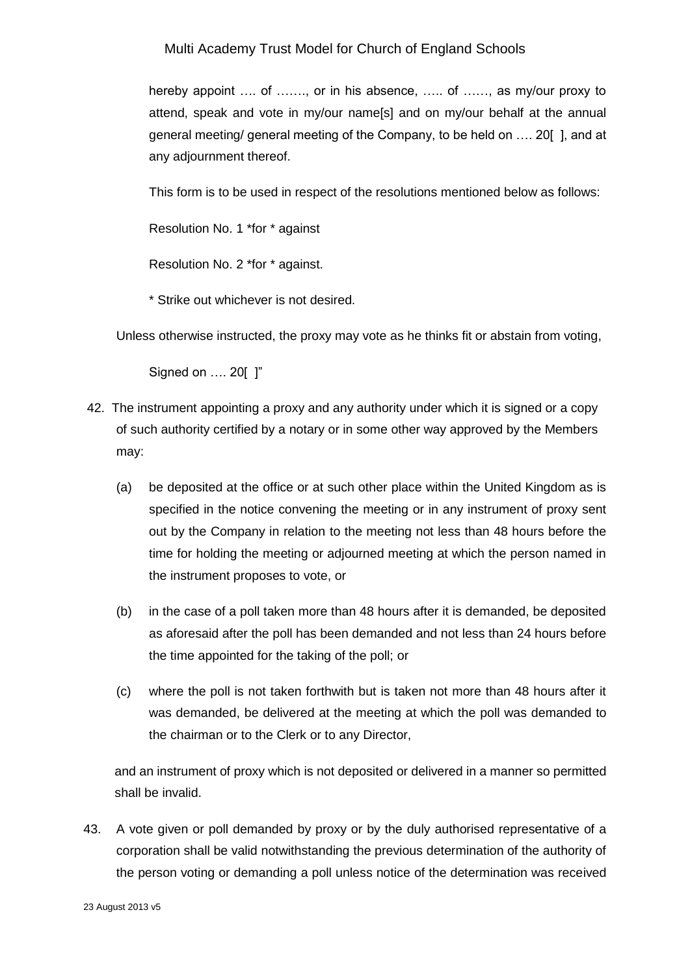hereby appoint .... of ......., or in his absence, ..... of ......, as my/our proxy to attend, speak and vote in my/our name[s] and on my/our behalf at the annual general meeting/ general meeting of the Company, to be held on …. 20[ ], and at any adjournment thereof.

This form is to be used in respect of the resolutions mentioned below as follows:

Resolution No. 1 \*for \* against

Resolution No. 2 \*for \* against.

\* Strike out whichever is not desired.

Unless otherwise instructed, the proxy may vote as he thinks fit or abstain from voting,

Signed on …. 20[ ]"

- 42. The instrument appointing a proxy and any authority under which it is signed or a copy of such authority certified by a notary or in some other way approved by the Members may:
	- (a) be deposited at the office or at such other place within the United Kingdom as is specified in the notice convening the meeting or in any instrument of proxy sent out by the Company in relation to the meeting not less than 48 hours before the time for holding the meeting or adjourned meeting at which the person named in the instrument proposes to vote, or
	- (b) in the case of a poll taken more than 48 hours after it is demanded, be deposited as aforesaid after the poll has been demanded and not less than 24 hours before the time appointed for the taking of the poll; or
	- (c) where the poll is not taken forthwith but is taken not more than 48 hours after it was demanded, be delivered at the meeting at which the poll was demanded to the chairman or to the Clerk or to any Director,

and an instrument of proxy which is not deposited or delivered in a manner so permitted shall be invalid.

43. A vote given or poll demanded by proxy or by the duly authorised representative of a corporation shall be valid notwithstanding the previous determination of the authority of the person voting or demanding a poll unless notice of the determination was received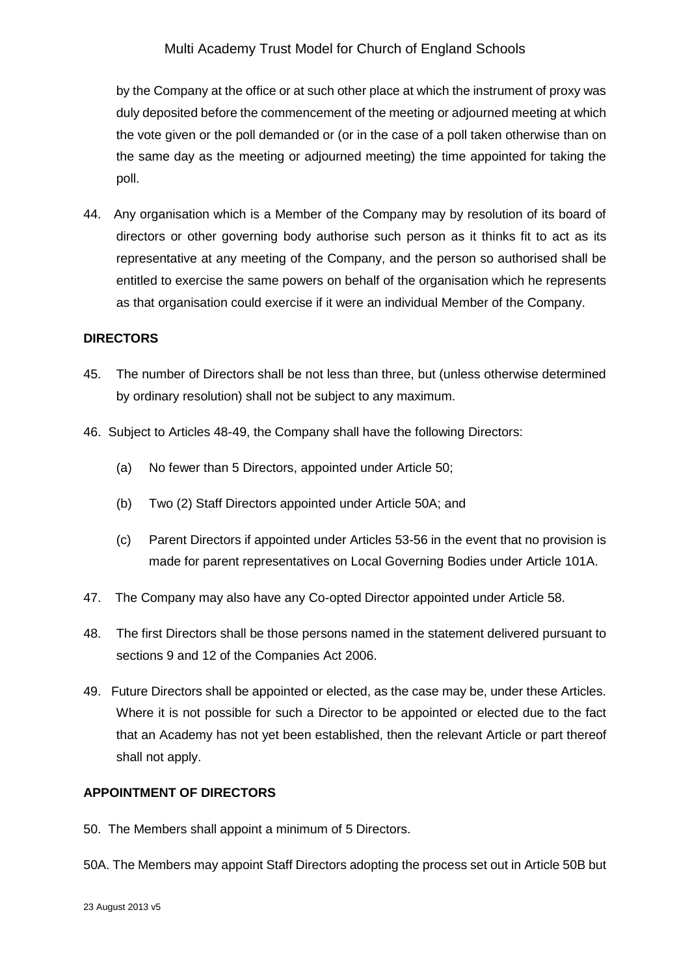by the Company at the office or at such other place at which the instrument of proxy was duly deposited before the commencement of the meeting or adjourned meeting at which the vote given or the poll demanded or (or in the case of a poll taken otherwise than on the same day as the meeting or adjourned meeting) the time appointed for taking the poll.

44. Any organisation which is a Member of the Company may by resolution of its board of directors or other governing body authorise such person as it thinks fit to act as its representative at any meeting of the Company, and the person so authorised shall be entitled to exercise the same powers on behalf of the organisation which he represents as that organisation could exercise if it were an individual Member of the Company.

#### **DIRECTORS**

- 45. The number of Directors shall be not less than three, but (unless otherwise determined by ordinary resolution) shall not be subject to any maximum.
- 46. Subject to Articles 48-49, the Company shall have the following Directors:
	- (a) No fewer than 5 Directors, appointed under Article 50;
	- (b) Two (2) Staff Directors appointed under Article 50A; and
	- (c) Parent Directors if appointed under Articles 53-56 in the event that no provision is made for parent representatives on Local Governing Bodies under Article 101A.
- 47. The Company may also have any Co-opted Director appointed under Article 58.
- 48. The first Directors shall be those persons named in the statement delivered pursuant to sections 9 and 12 of the Companies Act 2006.
- 49. Future Directors shall be appointed or elected, as the case may be, under these Articles. Where it is not possible for such a Director to be appointed or elected due to the fact that an Academy has not yet been established, then the relevant Article or part thereof shall not apply.

## **APPOINTMENT OF DIRECTORS**

50. The Members shall appoint a minimum of 5 Directors.

50A. The Members may appoint Staff Directors adopting the process set out in Article 50B but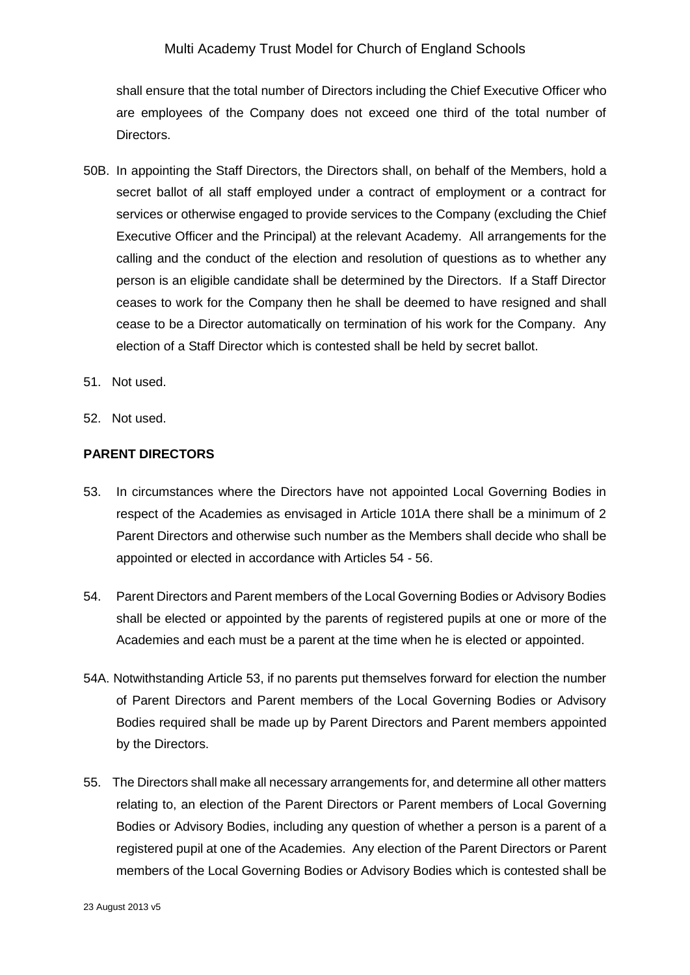shall ensure that the total number of Directors including the Chief Executive Officer who are employees of the Company does not exceed one third of the total number of Directors.

- 50B. In appointing the Staff Directors, the Directors shall, on behalf of the Members, hold a secret ballot of all staff employed under a contract of employment or a contract for services or otherwise engaged to provide services to the Company (excluding the Chief Executive Officer and the Principal) at the relevant Academy. All arrangements for the calling and the conduct of the election and resolution of questions as to whether any person is an eligible candidate shall be determined by the Directors. If a Staff Director ceases to work for the Company then he shall be deemed to have resigned and shall cease to be a Director automatically on termination of his work for the Company. Any election of a Staff Director which is contested shall be held by secret ballot.
- 51. Not used.
- 52. Not used.

#### **PARENT DIRECTORS**

- 53. In circumstances where the Directors have not appointed Local Governing Bodies in respect of the Academies as envisaged in Article 101A there shall be a minimum of 2 Parent Directors and otherwise such number as the Members shall decide who shall be appointed or elected in accordance with Articles 54 - 56.
- 54. Parent Directors and Parent members of the Local Governing Bodies or Advisory Bodies shall be elected or appointed by the parents of registered pupils at one or more of the Academies and each must be a parent at the time when he is elected or appointed.
- 54A. Notwithstanding Article 53, if no parents put themselves forward for election the number of Parent Directors and Parent members of the Local Governing Bodies or Advisory Bodies required shall be made up by Parent Directors and Parent members appointed by the Directors.
- 55. The Directors shall make all necessary arrangements for, and determine all other matters relating to, an election of the Parent Directors or Parent members of Local Governing Bodies or Advisory Bodies, including any question of whether a person is a parent of a registered pupil at one of the Academies. Any election of the Parent Directors or Parent members of the Local Governing Bodies or Advisory Bodies which is contested shall be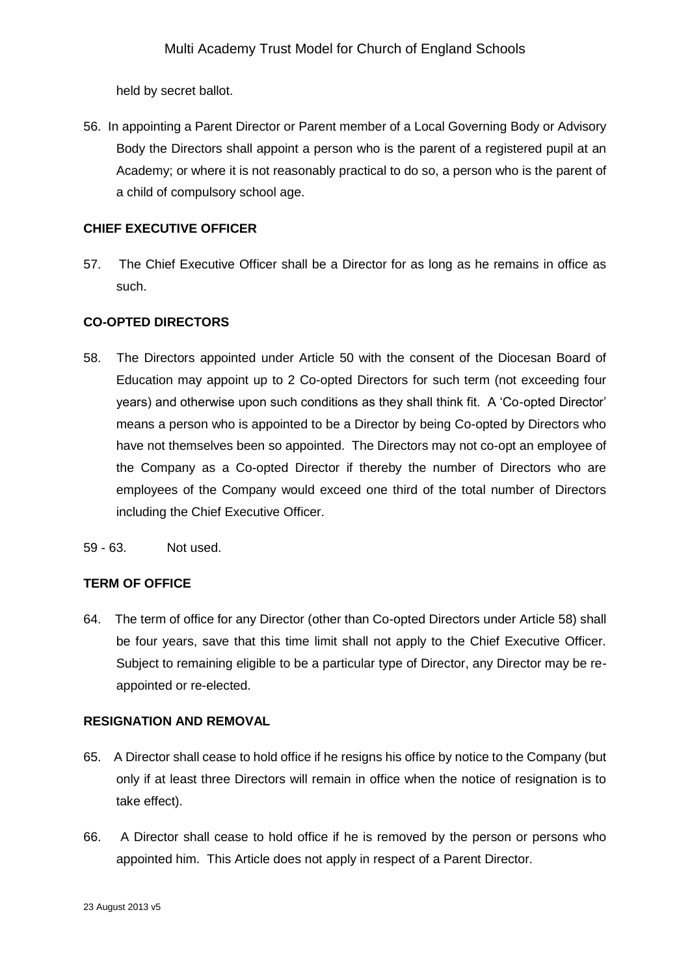held by secret ballot.

56. In appointing a Parent Director or Parent member of a Local Governing Body or Advisory Body the Directors shall appoint a person who is the parent of a registered pupil at an Academy; or where it is not reasonably practical to do so, a person who is the parent of a child of compulsory school age.

## **CHIEF EXECUTIVE OFFICER**

57. The Chief Executive Officer shall be a Director for as long as he remains in office as such.

# **CO-OPTED DIRECTORS**

- 58. The Directors appointed under Article 50 with the consent of the Diocesan Board of Education may appoint up to 2 Co-opted Directors for such term (not exceeding four years) and otherwise upon such conditions as they shall think fit. A 'Co-opted Director' means a person who is appointed to be a Director by being Co-opted by Directors who have not themselves been so appointed. The Directors may not co-opt an employee of the Company as a Co-opted Director if thereby the number of Directors who are employees of the Company would exceed one third of the total number of Directors including the Chief Executive Officer.
- 59 63. Not used.

# **TERM OF OFFICE**

64. The term of office for any Director (other than Co-opted Directors under Article 58) shall be four years, save that this time limit shall not apply to the Chief Executive Officer. Subject to remaining eligible to be a particular type of Director, any Director may be reappointed or re-elected.

# **RESIGNATION AND REMOVAL**

- 65. A Director shall cease to hold office if he resigns his office by notice to the Company (but only if at least three Directors will remain in office when the notice of resignation is to take effect).
- 66. A Director shall cease to hold office if he is removed by the person or persons who appointed him. This Article does not apply in respect of a Parent Director.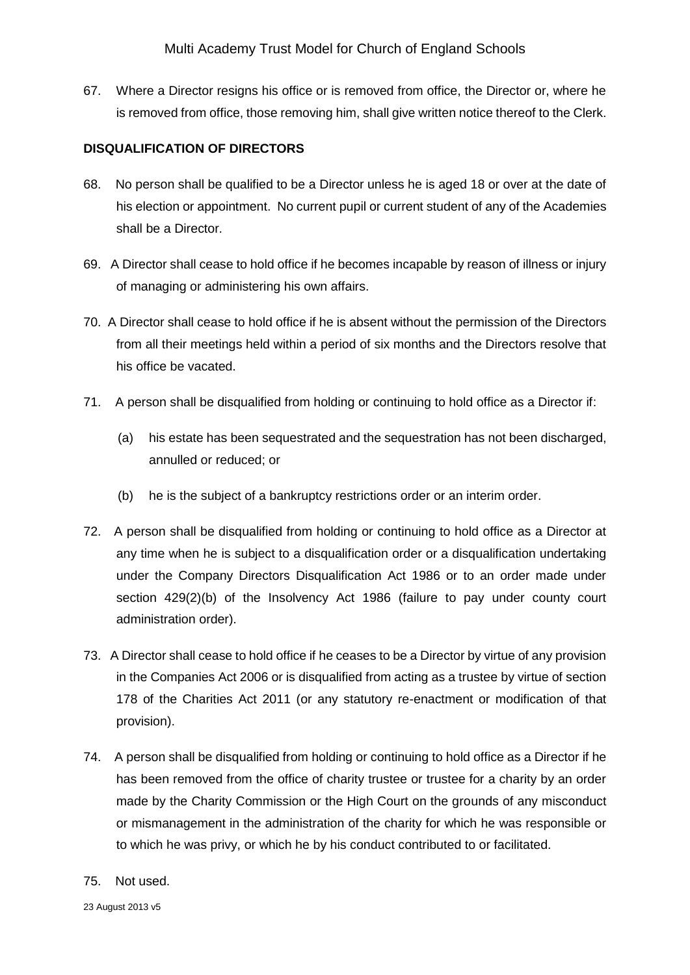67. Where a Director resigns his office or is removed from office, the Director or, where he is removed from office, those removing him, shall give written notice thereof to the Clerk.

# **DISQUALIFICATION OF DIRECTORS**

- 68. No person shall be qualified to be a Director unless he is aged 18 or over at the date of his election or appointment. No current pupil or current student of any of the Academies shall be a Director.
- 69. A Director shall cease to hold office if he becomes incapable by reason of illness or injury of managing or administering his own affairs.
- 70. A Director shall cease to hold office if he is absent without the permission of the Directors from all their meetings held within a period of six months and the Directors resolve that his office be vacated.
- 71. A person shall be disqualified from holding or continuing to hold office as a Director if:
	- (a) his estate has been sequestrated and the sequestration has not been discharged, annulled or reduced; or
	- (b) he is the subject of a bankruptcy restrictions order or an interim order.
- 72. A person shall be disqualified from holding or continuing to hold office as a Director at any time when he is subject to a disqualification order or a disqualification undertaking under the Company Directors Disqualification Act 1986 or to an order made under section 429(2)(b) of the Insolvency Act 1986 (failure to pay under county court administration order).
- 73. A Director shall cease to hold office if he ceases to be a Director by virtue of any provision in the Companies Act 2006 or is disqualified from acting as a trustee by virtue of section 178 of the Charities Act 2011 (or any statutory re-enactment or modification of that provision).
- 74. A person shall be disqualified from holding or continuing to hold office as a Director if he has been removed from the office of charity trustee or trustee for a charity by an order made by the Charity Commission or the High Court on the grounds of any misconduct or mismanagement in the administration of the charity for which he was responsible or to which he was privy, or which he by his conduct contributed to or facilitated.
- 75. Not used.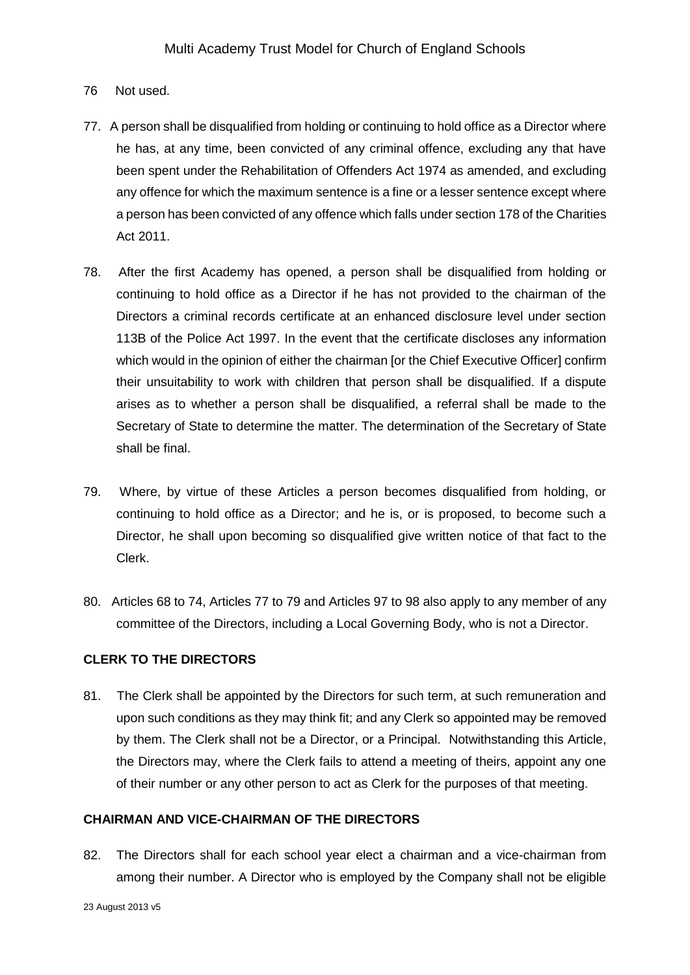## 76 Not used.

- 77. A person shall be disqualified from holding or continuing to hold office as a Director where he has, at any time, been convicted of any criminal offence, excluding any that have been spent under the Rehabilitation of Offenders Act 1974 as amended, and excluding any offence for which the maximum sentence is a fine or a lesser sentence except where a person has been convicted of any offence which falls under section 178 of the Charities Act 2011.
- 78. After the first Academy has opened, a person shall be disqualified from holding or continuing to hold office as a Director if he has not provided to the chairman of the Directors a criminal records certificate at an enhanced disclosure level under section 113B of the Police Act 1997. In the event that the certificate discloses any information which would in the opinion of either the chairman [or the Chief Executive Officer] confirm their unsuitability to work with children that person shall be disqualified. If a dispute arises as to whether a person shall be disqualified, a referral shall be made to the Secretary of State to determine the matter. The determination of the Secretary of State shall be final.
- 79. Where, by virtue of these Articles a person becomes disqualified from holding, or continuing to hold office as a Director; and he is, or is proposed, to become such a Director, he shall upon becoming so disqualified give written notice of that fact to the Clerk.
- 80. Articles 68 to 74, Articles 77 to 79 and Articles 97 to 98 also apply to any member of any committee of the Directors, including a Local Governing Body, who is not a Director.

## **CLERK TO THE DIRECTORS**

81. The Clerk shall be appointed by the Directors for such term, at such remuneration and upon such conditions as they may think fit; and any Clerk so appointed may be removed by them. The Clerk shall not be a Director, or a Principal. Notwithstanding this Article, the Directors may, where the Clerk fails to attend a meeting of theirs, appoint any one of their number or any other person to act as Clerk for the purposes of that meeting.

#### **CHAIRMAN AND VICE-CHAIRMAN OF THE DIRECTORS**

82. The Directors shall for each school year elect a chairman and a vice-chairman from among their number. A Director who is employed by the Company shall not be eligible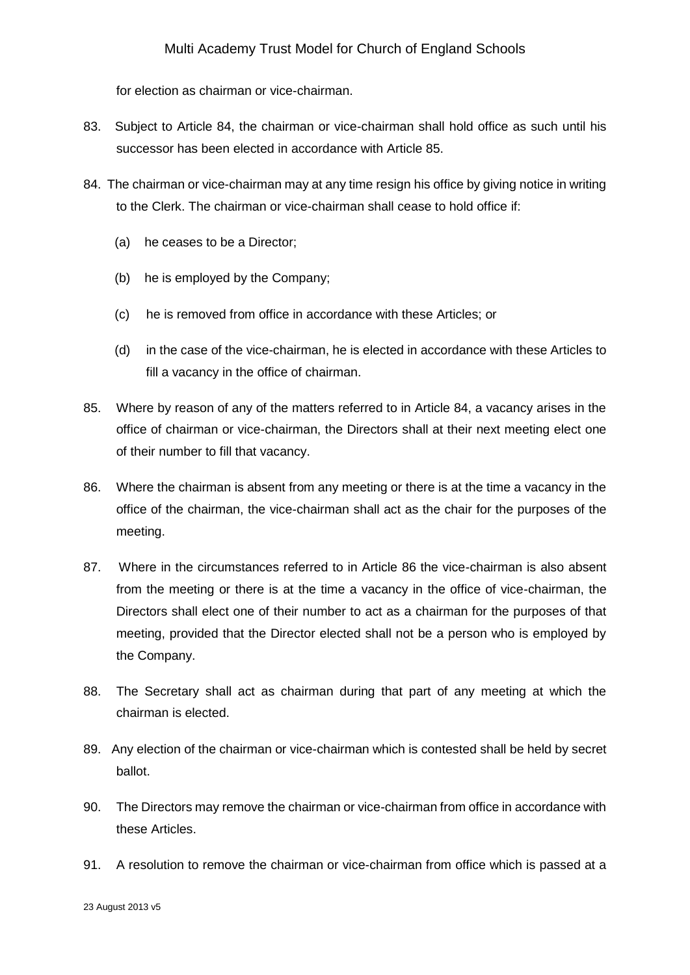for election as chairman or vice-chairman.

- 83. Subject to Article 84, the chairman or vice-chairman shall hold office as such until his successor has been elected in accordance with Article 85.
- 84. The chairman or vice-chairman may at any time resign his office by giving notice in writing to the Clerk. The chairman or vice-chairman shall cease to hold office if:
	- (a) he ceases to be a Director;
	- (b) he is employed by the Company;
	- (c) he is removed from office in accordance with these Articles; or
	- (d) in the case of the vice-chairman, he is elected in accordance with these Articles to fill a vacancy in the office of chairman.
- 85. Where by reason of any of the matters referred to in Article 84, a vacancy arises in the office of chairman or vice-chairman, the Directors shall at their next meeting elect one of their number to fill that vacancy.
- 86. Where the chairman is absent from any meeting or there is at the time a vacancy in the office of the chairman, the vice-chairman shall act as the chair for the purposes of the meeting.
- 87. Where in the circumstances referred to in Article 86 the vice-chairman is also absent from the meeting or there is at the time a vacancy in the office of vice-chairman, the Directors shall elect one of their number to act as a chairman for the purposes of that meeting, provided that the Director elected shall not be a person who is employed by the Company.
- 88. The Secretary shall act as chairman during that part of any meeting at which the chairman is elected.
- 89. Any election of the chairman or vice-chairman which is contested shall be held by secret ballot.
- 90. The Directors may remove the chairman or vice-chairman from office in accordance with these Articles.
- 91. A resolution to remove the chairman or vice-chairman from office which is passed at a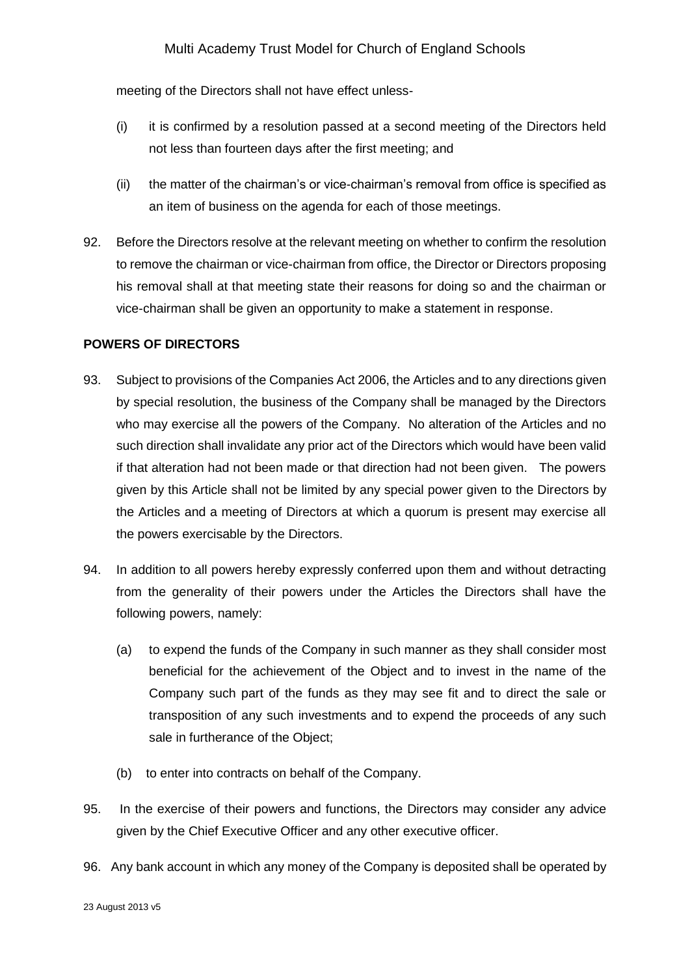meeting of the Directors shall not have effect unless-

- (i) it is confirmed by a resolution passed at a second meeting of the Directors held not less than fourteen days after the first meeting; and
- (ii) the matter of the chairman's or vice-chairman's removal from office is specified as an item of business on the agenda for each of those meetings.
- 92. Before the Directors resolve at the relevant meeting on whether to confirm the resolution to remove the chairman or vice-chairman from office, the Director or Directors proposing his removal shall at that meeting state their reasons for doing so and the chairman or vice-chairman shall be given an opportunity to make a statement in response.

## **POWERS OF DIRECTORS**

- 93. Subject to provisions of the Companies Act 2006, the Articles and to any directions given by special resolution, the business of the Company shall be managed by the Directors who may exercise all the powers of the Company. No alteration of the Articles and no such direction shall invalidate any prior act of the Directors which would have been valid if that alteration had not been made or that direction had not been given. The powers given by this Article shall not be limited by any special power given to the Directors by the Articles and a meeting of Directors at which a quorum is present may exercise all the powers exercisable by the Directors.
- 94. In addition to all powers hereby expressly conferred upon them and without detracting from the generality of their powers under the Articles the Directors shall have the following powers, namely:
	- (a) to expend the funds of the Company in such manner as they shall consider most beneficial for the achievement of the Object and to invest in the name of the Company such part of the funds as they may see fit and to direct the sale or transposition of any such investments and to expend the proceeds of any such sale in furtherance of the Object;
	- (b) to enter into contracts on behalf of the Company.
- 95. In the exercise of their powers and functions, the Directors may consider any advice given by the Chief Executive Officer and any other executive officer.
- 96. Any bank account in which any money of the Company is deposited shall be operated by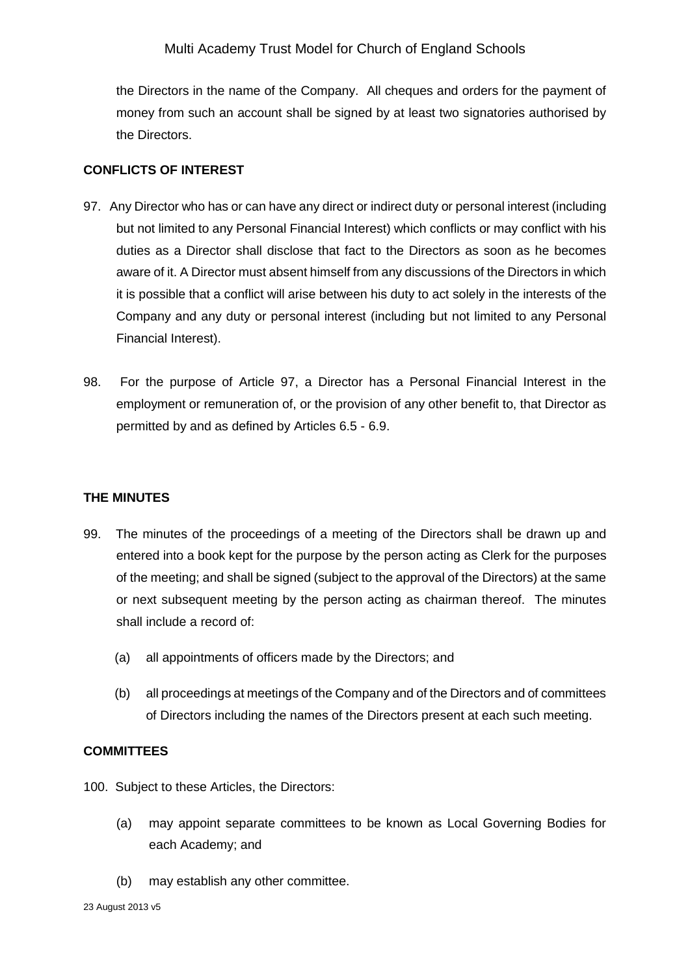the Directors in the name of the Company. All cheques and orders for the payment of money from such an account shall be signed by at least two signatories authorised by the Directors.

# **CONFLICTS OF INTEREST**

- 97. Any Director who has or can have any direct or indirect duty or personal interest (including but not limited to any Personal Financial Interest) which conflicts or may conflict with his duties as a Director shall disclose that fact to the Directors as soon as he becomes aware of it. A Director must absent himself from any discussions of the Directors in which it is possible that a conflict will arise between his duty to act solely in the interests of the Company and any duty or personal interest (including but not limited to any Personal Financial Interest).
- 98. For the purpose of Article 97, a Director has a Personal Financial Interest in the employment or remuneration of, or the provision of any other benefit to, that Director as permitted by and as defined by Articles 6.5 - 6.9.

# **THE MINUTES**

- 99. The minutes of the proceedings of a meeting of the Directors shall be drawn up and entered into a book kept for the purpose by the person acting as Clerk for the purposes of the meeting; and shall be signed (subject to the approval of the Directors) at the same or next subsequent meeting by the person acting as chairman thereof. The minutes shall include a record of:
	- (a) all appointments of officers made by the Directors; and
	- (b) all proceedings at meetings of the Company and of the Directors and of committees of Directors including the names of the Directors present at each such meeting.

## **COMMITTEES**

100. Subject to these Articles, the Directors:

- (a) may appoint separate committees to be known as Local Governing Bodies for each Academy; and
- (b) may establish any other committee.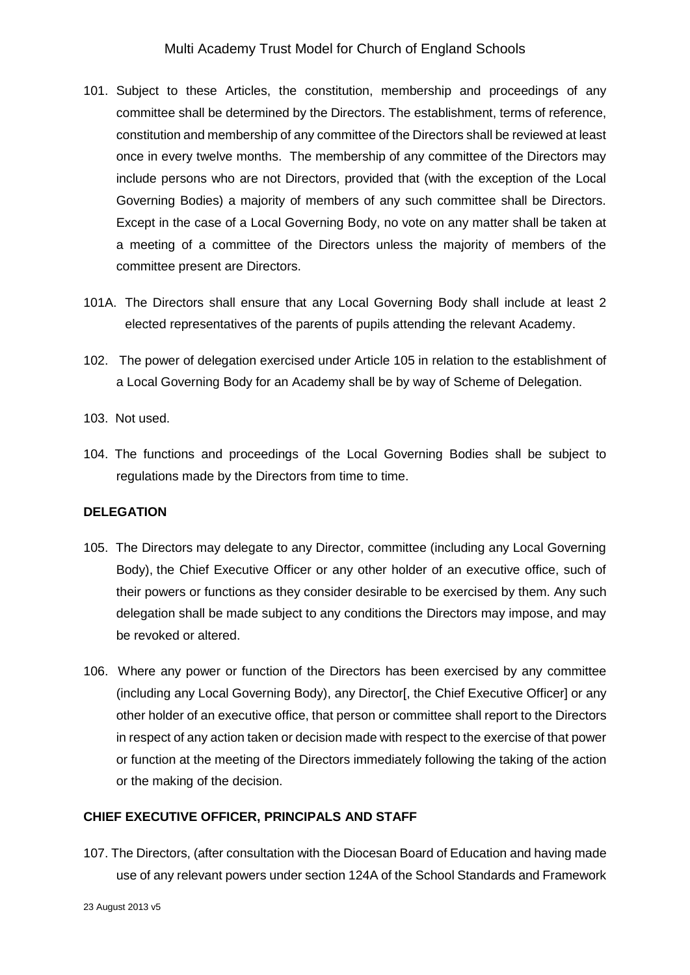- 101. Subject to these Articles, the constitution, membership and proceedings of any committee shall be determined by the Directors. The establishment, terms of reference, constitution and membership of any committee of the Directors shall be reviewed at least once in every twelve months. The membership of any committee of the Directors may include persons who are not Directors, provided that (with the exception of the Local Governing Bodies) a majority of members of any such committee shall be Directors. Except in the case of a Local Governing Body, no vote on any matter shall be taken at a meeting of a committee of the Directors unless the majority of members of the committee present are Directors.
- 101A. The Directors shall ensure that any Local Governing Body shall include at least 2 elected representatives of the parents of pupils attending the relevant Academy.
- 102. The power of delegation exercised under Article 105 in relation to the establishment of a Local Governing Body for an Academy shall be by way of Scheme of Delegation.
- 103. Not used.
- 104. The functions and proceedings of the Local Governing Bodies shall be subject to regulations made by the Directors from time to time.

## **DELEGATION**

- 105. The Directors may delegate to any Director, committee (including any Local Governing Body), the Chief Executive Officer or any other holder of an executive office, such of their powers or functions as they consider desirable to be exercised by them. Any such delegation shall be made subject to any conditions the Directors may impose, and may be revoked or altered.
- 106. Where any power or function of the Directors has been exercised by any committee (including any Local Governing Body), any Director [, the Chief Executive Officer] or any other holder of an executive office, that person or committee shall report to the Directors in respect of any action taken or decision made with respect to the exercise of that power or function at the meeting of the Directors immediately following the taking of the action or the making of the decision.

## **CHIEF EXECUTIVE OFFICER, PRINCIPALS AND STAFF**

107. The Directors, (after consultation with the Diocesan Board of Education and having made use of any relevant powers under section 124A of the School Standards and Framework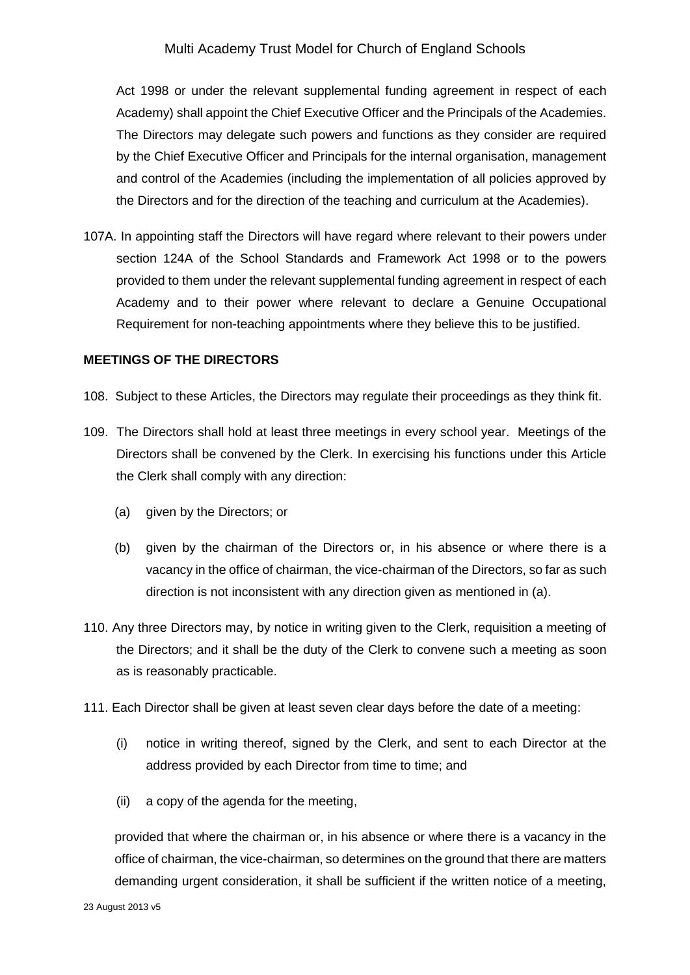Act 1998 or under the relevant supplemental funding agreement in respect of each Academy) shall appoint the Chief Executive Officer and the Principals of the Academies. The Directors may delegate such powers and functions as they consider are required by the Chief Executive Officer and Principals for the internal organisation, management and control of the Academies (including the implementation of all policies approved by the Directors and for the direction of the teaching and curriculum at the Academies).

107A. In appointing staff the Directors will have regard where relevant to their powers under section 124A of the School Standards and Framework Act 1998 or to the powers provided to them under the relevant supplemental funding agreement in respect of each Academy and to their power where relevant to declare a Genuine Occupational Requirement for non-teaching appointments where they believe this to be justified.

#### **MEETINGS OF THE DIRECTORS**

- 108. Subject to these Articles, the Directors may regulate their proceedings as they think fit.
- 109. The Directors shall hold at least three meetings in every school year. Meetings of the Directors shall be convened by the Clerk. In exercising his functions under this Article the Clerk shall comply with any direction:
	- (a) given by the Directors; or
	- (b) given by the chairman of the Directors or, in his absence or where there is a vacancy in the office of chairman, the vice-chairman of the Directors, so far as such direction is not inconsistent with any direction given as mentioned in (a).
- 110. Any three Directors may, by notice in writing given to the Clerk, requisition a meeting of the Directors; and it shall be the duty of the Clerk to convene such a meeting as soon as is reasonably practicable.
- 111. Each Director shall be given at least seven clear days before the date of a meeting:
	- (i) notice in writing thereof, signed by the Clerk, and sent to each Director at the address provided by each Director from time to time; and
	- (ii) a copy of the agenda for the meeting,

provided that where the chairman or, in his absence or where there is a vacancy in the office of chairman, the vice-chairman, so determines on the ground that there are matters demanding urgent consideration, it shall be sufficient if the written notice of a meeting,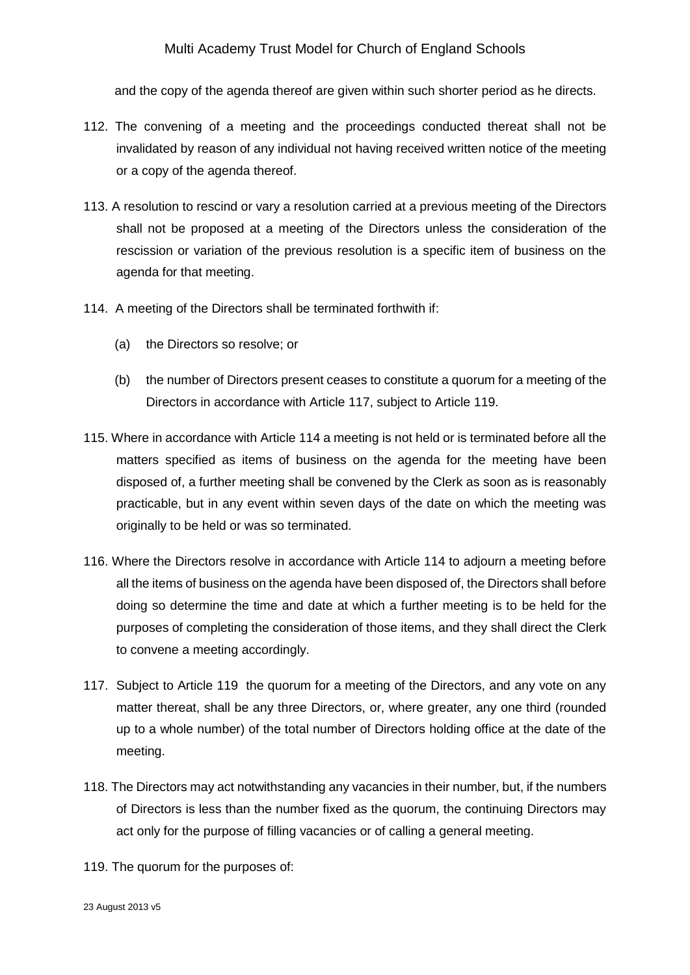and the copy of the agenda thereof are given within such shorter period as he directs.

- 112. The convening of a meeting and the proceedings conducted thereat shall not be invalidated by reason of any individual not having received written notice of the meeting or a copy of the agenda thereof.
- 113. A resolution to rescind or vary a resolution carried at a previous meeting of the Directors shall not be proposed at a meeting of the Directors unless the consideration of the rescission or variation of the previous resolution is a specific item of business on the agenda for that meeting.
- 114. A meeting of the Directors shall be terminated forthwith if:
	- (a) the Directors so resolve; or
	- (b) the number of Directors present ceases to constitute a quorum for a meeting of the Directors in accordance with Article 117, subject to Article 119.
- 115. Where in accordance with Article 114 a meeting is not held or is terminated before all the matters specified as items of business on the agenda for the meeting have been disposed of, a further meeting shall be convened by the Clerk as soon as is reasonably practicable, but in any event within seven days of the date on which the meeting was originally to be held or was so terminated.
- 116. Where the Directors resolve in accordance with Article 114 to adjourn a meeting before all the items of business on the agenda have been disposed of, the Directors shall before doing so determine the time and date at which a further meeting is to be held for the purposes of completing the consideration of those items, and they shall direct the Clerk to convene a meeting accordingly.
- 117. Subject to Article 119 the quorum for a meeting of the Directors, and any vote on any matter thereat, shall be any three Directors, or, where greater, any one third (rounded up to a whole number) of the total number of Directors holding office at the date of the meeting.
- 118. The Directors may act notwithstanding any vacancies in their number, but, if the numbers of Directors is less than the number fixed as the quorum, the continuing Directors may act only for the purpose of filling vacancies or of calling a general meeting.
- 119. The quorum for the purposes of: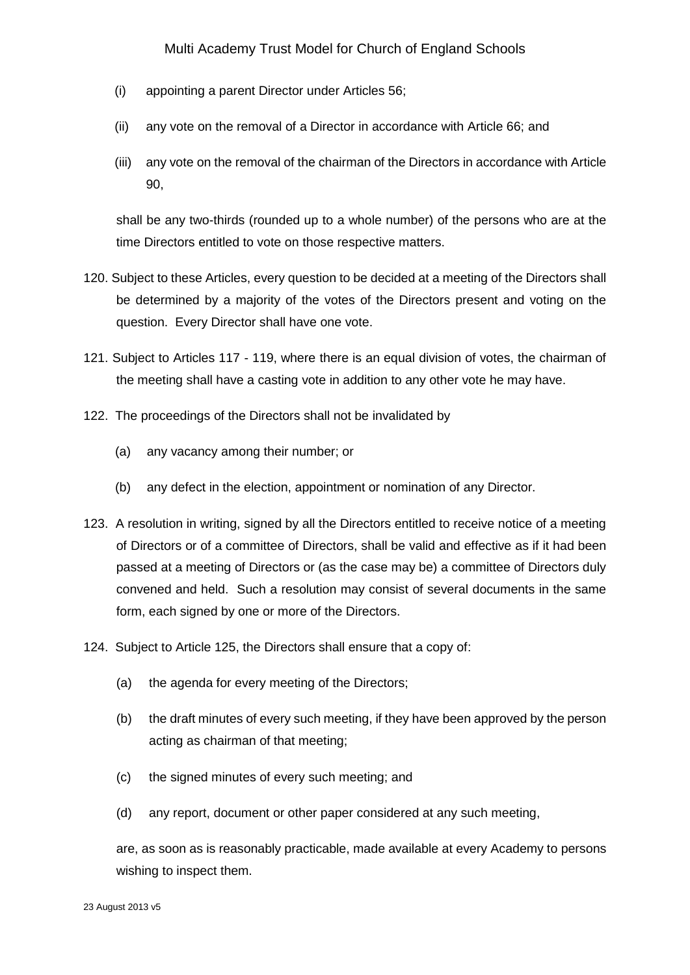- (i) appointing a parent Director under Articles 56;
- (ii) any vote on the removal of a Director in accordance with Article 66; and
- (iii) any vote on the removal of the chairman of the Directors in accordance with Article 90,

shall be any two-thirds (rounded up to a whole number) of the persons who are at the time Directors entitled to vote on those respective matters.

- 120. Subject to these Articles, every question to be decided at a meeting of the Directors shall be determined by a majority of the votes of the Directors present and voting on the question. Every Director shall have one vote.
- 121. Subject to Articles 117 119, where there is an equal division of votes, the chairman of the meeting shall have a casting vote in addition to any other vote he may have.
- 122. The proceedings of the Directors shall not be invalidated by
	- (a) any vacancy among their number; or
	- (b) any defect in the election, appointment or nomination of any Director.
- 123. A resolution in writing, signed by all the Directors entitled to receive notice of a meeting of Directors or of a committee of Directors, shall be valid and effective as if it had been passed at a meeting of Directors or (as the case may be) a committee of Directors duly convened and held. Such a resolution may consist of several documents in the same form, each signed by one or more of the Directors.
- 124. Subject to Article 125, the Directors shall ensure that a copy of:
	- (a) the agenda for every meeting of the Directors;
	- (b) the draft minutes of every such meeting, if they have been approved by the person acting as chairman of that meeting;
	- (c) the signed minutes of every such meeting; and
	- (d) any report, document or other paper considered at any such meeting,

are, as soon as is reasonably practicable, made available at every Academy to persons wishing to inspect them.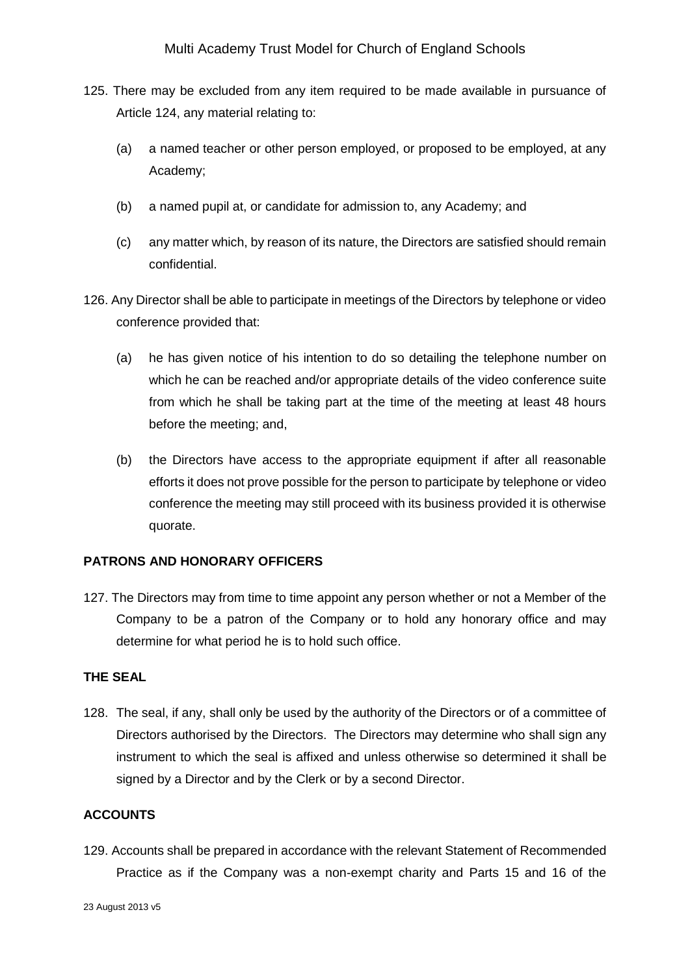- 125. There may be excluded from any item required to be made available in pursuance of Article 124, any material relating to:
	- (a) a named teacher or other person employed, or proposed to be employed, at any Academy;
	- (b) a named pupil at, or candidate for admission to, any Academy; and
	- (c) any matter which, by reason of its nature, the Directors are satisfied should remain confidential.
- 126. Any Director shall be able to participate in meetings of the Directors by telephone or video conference provided that:
	- (a) he has given notice of his intention to do so detailing the telephone number on which he can be reached and/or appropriate details of the video conference suite from which he shall be taking part at the time of the meeting at least 48 hours before the meeting; and,
	- (b) the Directors have access to the appropriate equipment if after all reasonable efforts it does not prove possible for the person to participate by telephone or video conference the meeting may still proceed with its business provided it is otherwise quorate.

## **PATRONS AND HONORARY OFFICERS**

127. The Directors may from time to time appoint any person whether or not a Member of the Company to be a patron of the Company or to hold any honorary office and may determine for what period he is to hold such office.

# **THE SEAL**

128. The seal, if any, shall only be used by the authority of the Directors or of a committee of Directors authorised by the Directors. The Directors may determine who shall sign any instrument to which the seal is affixed and unless otherwise so determined it shall be signed by a Director and by the Clerk or by a second Director.

# **ACCOUNTS**

129. Accounts shall be prepared in accordance with the relevant Statement of Recommended Practice as if the Company was a non-exempt charity and Parts 15 and 16 of the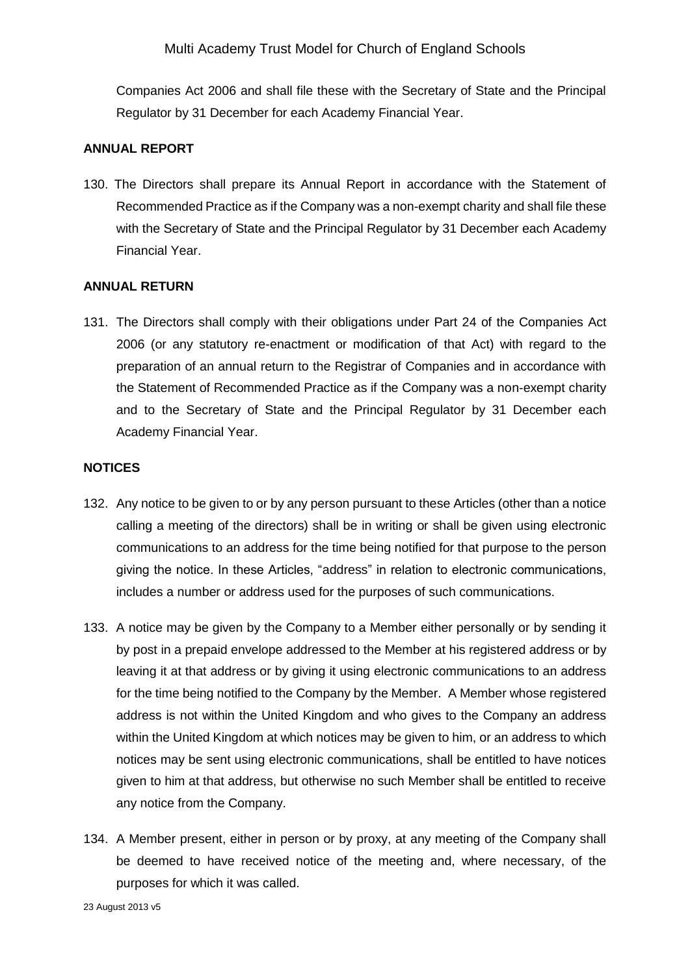Companies Act 2006 and shall file these with the Secretary of State and the Principal Regulator by 31 December for each Academy Financial Year.

### **ANNUAL REPORT**

130. The Directors shall prepare its Annual Report in accordance with the Statement of Recommended Practice as if the Company was a non-exempt charity and shall file these with the Secretary of State and the Principal Regulator by 31 December each Academy Financial Year.

### **ANNUAL RETURN**

131. The Directors shall comply with their obligations under Part 24 of the Companies Act 2006 (or any statutory re-enactment or modification of that Act) with regard to the preparation of an annual return to the Registrar of Companies and in accordance with the Statement of Recommended Practice as if the Company was a non-exempt charity and to the Secretary of State and the Principal Regulator by 31 December each Academy Financial Year.

#### **NOTICES**

- 132. Any notice to be given to or by any person pursuant to these Articles (other than a notice calling a meeting of the directors) shall be in writing or shall be given using electronic communications to an address for the time being notified for that purpose to the person giving the notice. In these Articles, "address" in relation to electronic communications, includes a number or address used for the purposes of such communications.
- 133. A notice may be given by the Company to a Member either personally or by sending it by post in a prepaid envelope addressed to the Member at his registered address or by leaving it at that address or by giving it using electronic communications to an address for the time being notified to the Company by the Member. A Member whose registered address is not within the United Kingdom and who gives to the Company an address within the United Kingdom at which notices may be given to him, or an address to which notices may be sent using electronic communications, shall be entitled to have notices given to him at that address, but otherwise no such Member shall be entitled to receive any notice from the Company.
- 134. A Member present, either in person or by proxy, at any meeting of the Company shall be deemed to have received notice of the meeting and, where necessary, of the purposes for which it was called.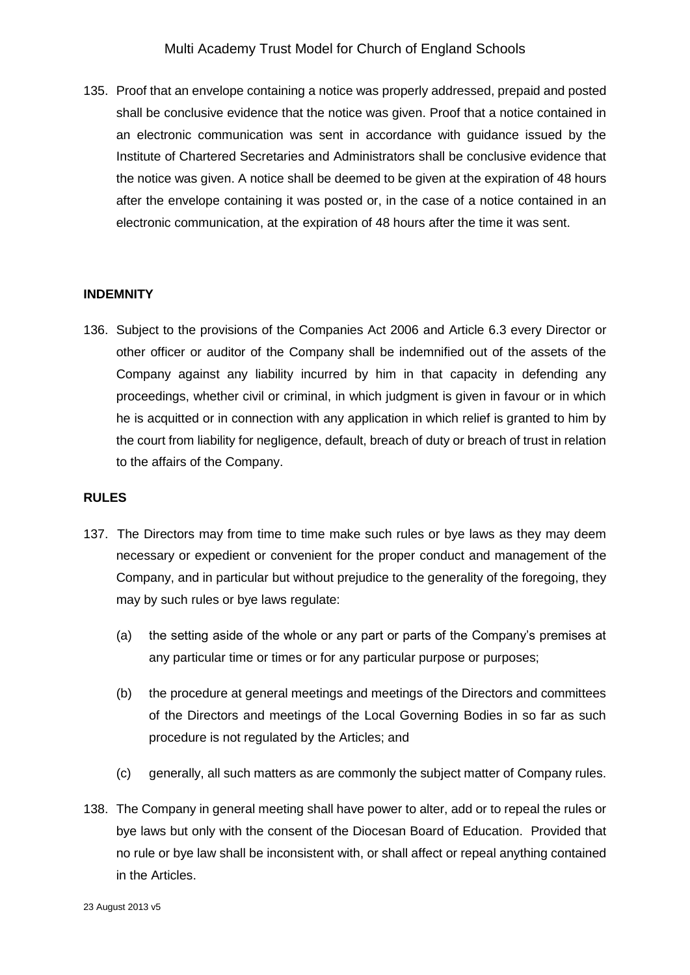135. Proof that an envelope containing a notice was properly addressed, prepaid and posted shall be conclusive evidence that the notice was given. Proof that a notice contained in an electronic communication was sent in accordance with guidance issued by the Institute of Chartered Secretaries and Administrators shall be conclusive evidence that the notice was given. A notice shall be deemed to be given at the expiration of 48 hours after the envelope containing it was posted or, in the case of a notice contained in an electronic communication, at the expiration of 48 hours after the time it was sent.

## **INDEMNITY**

136. Subject to the provisions of the Companies Act 2006 and Article 6.3 every Director or other officer or auditor of the Company shall be indemnified out of the assets of the Company against any liability incurred by him in that capacity in defending any proceedings, whether civil or criminal, in which judgment is given in favour or in which he is acquitted or in connection with any application in which relief is granted to him by the court from liability for negligence, default, breach of duty or breach of trust in relation to the affairs of the Company.

## **RULES**

- 137. The Directors may from time to time make such rules or bye laws as they may deem necessary or expedient or convenient for the proper conduct and management of the Company, and in particular but without prejudice to the generality of the foregoing, they may by such rules or bye laws regulate:
	- (a) the setting aside of the whole or any part or parts of the Company's premises at any particular time or times or for any particular purpose or purposes;
	- (b) the procedure at general meetings and meetings of the Directors and committees of the Directors and meetings of the Local Governing Bodies in so far as such procedure is not regulated by the Articles; and
	- (c) generally, all such matters as are commonly the subject matter of Company rules.
- 138. The Company in general meeting shall have power to alter, add or to repeal the rules or bye laws but only with the consent of the Diocesan Board of Education. Provided that no rule or bye law shall be inconsistent with, or shall affect or repeal anything contained in the Articles.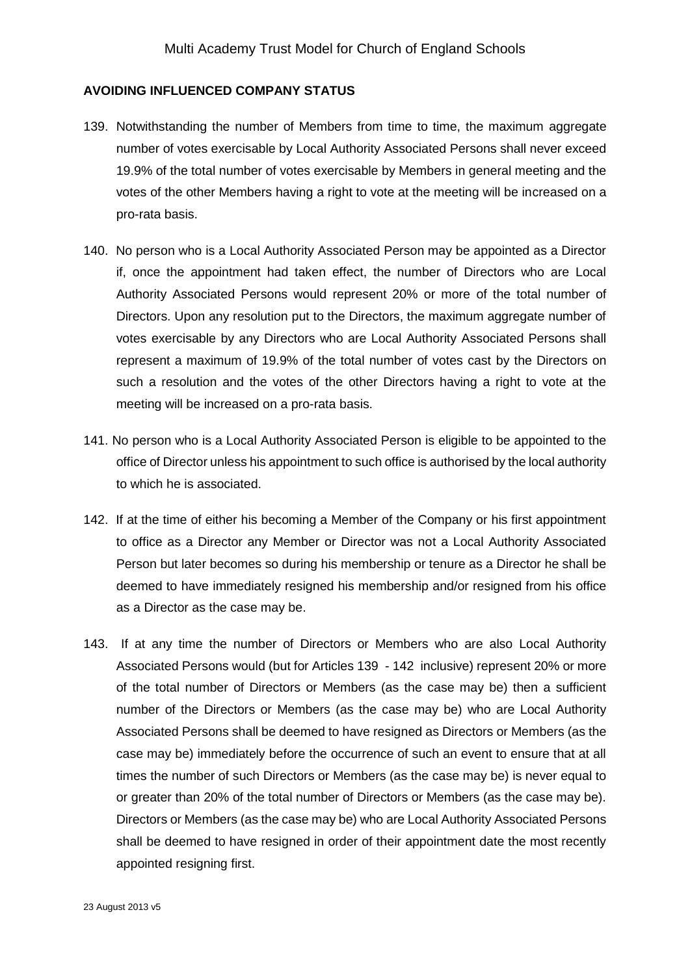#### **AVOIDING INFLUENCED COMPANY STATUS**

- 139. Notwithstanding the number of Members from time to time, the maximum aggregate number of votes exercisable by Local Authority Associated Persons shall never exceed 19.9% of the total number of votes exercisable by Members in general meeting and the votes of the other Members having a right to vote at the meeting will be increased on a pro-rata basis.
- 140. No person who is a Local Authority Associated Person may be appointed as a Director if, once the appointment had taken effect, the number of Directors who are Local Authority Associated Persons would represent 20% or more of the total number of Directors. Upon any resolution put to the Directors, the maximum aggregate number of votes exercisable by any Directors who are Local Authority Associated Persons shall represent a maximum of 19.9% of the total number of votes cast by the Directors on such a resolution and the votes of the other Directors having a right to vote at the meeting will be increased on a pro-rata basis.
- 141. No person who is a Local Authority Associated Person is eligible to be appointed to the office of Director unless his appointment to such office is authorised by the local authority to which he is associated.
- 142. If at the time of either his becoming a Member of the Company or his first appointment to office as a Director any Member or Director was not a Local Authority Associated Person but later becomes so during his membership or tenure as a Director he shall be deemed to have immediately resigned his membership and/or resigned from his office as a Director as the case may be.
- 143. If at any time the number of Directors or Members who are also Local Authority Associated Persons would (but for Articles 139 - 142 inclusive) represent 20% or more of the total number of Directors or Members (as the case may be) then a sufficient number of the Directors or Members (as the case may be) who are Local Authority Associated Persons shall be deemed to have resigned as Directors or Members (as the case may be) immediately before the occurrence of such an event to ensure that at all times the number of such Directors or Members (as the case may be) is never equal to or greater than 20% of the total number of Directors or Members (as the case may be). Directors or Members (as the case may be) who are Local Authority Associated Persons shall be deemed to have resigned in order of their appointment date the most recently appointed resigning first.